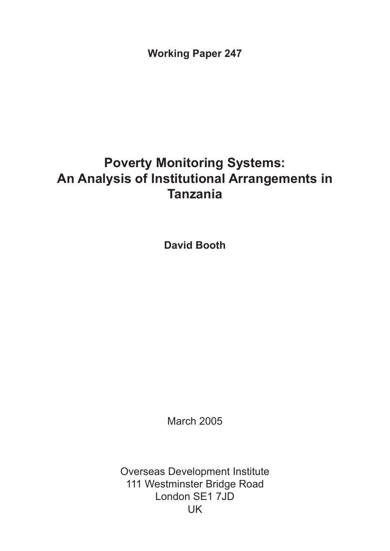**Working Paper 247**

# **Poverty Monitoring Systems: An Analysis of Institutional Arrangements in Tanzania**

**David Booth**

March 2005

Overseas Development Institute 111 Westminster Bridge Road London SE1 7JD UK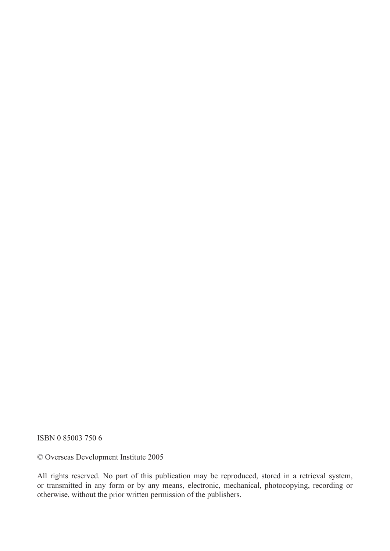ISBN 0 85003 750 6

© Overseas Development Institute 2005

All rights reserved. No part of this publication may be reproduced, stored in a retrieval system, or transmitted in any form or by any means, electronic, mechanical, photocopying, recording or otherwise, without the prior written permission of the publishers.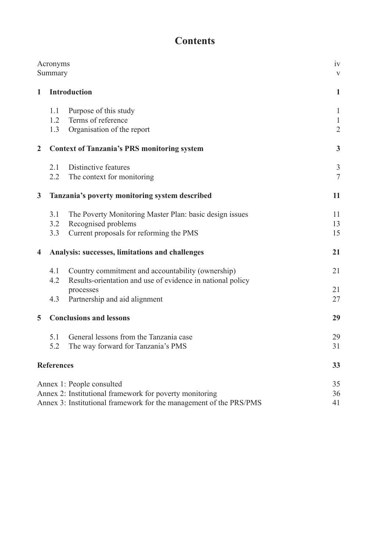# **Contents**

|                         | Acronyms<br>Summary                                |                                                                                                                                                               | iv<br>$\mathbf{V}$                             |
|-------------------------|----------------------------------------------------|---------------------------------------------------------------------------------------------------------------------------------------------------------------|------------------------------------------------|
| $\mathbf{1}$            | <b>Introduction</b>                                |                                                                                                                                                               | $\mathbf{1}$                                   |
|                         | 1.1<br>1.2<br>1.3                                  | Purpose of this study<br>Terms of reference<br>Organisation of the report                                                                                     | $\mathbf{1}$<br>$\mathbf{1}$<br>$\overline{2}$ |
| $\overline{2}$          | <b>Context of Tanzania's PRS monitoring system</b> |                                                                                                                                                               |                                                |
|                         | 2.1<br>2.2                                         | Distinctive features<br>The context for monitoring                                                                                                            | $\mathfrak{Z}$<br>$\overline{7}$               |
| 3                       | Tanzania's poverty monitoring system described     |                                                                                                                                                               |                                                |
|                         | 3.1<br>3.2<br>3.3                                  | The Poverty Monitoring Master Plan: basic design issues<br>Recognised problems<br>Current proposals for reforming the PMS                                     | 11<br>13<br>15                                 |
| $\overline{\mathbf{4}}$ | Analysis: successes, limitations and challenges    |                                                                                                                                                               | 21                                             |
|                         | 4.1<br>4.2<br>4.3                                  | Country commitment and accountability (ownership)<br>Results-orientation and use of evidence in national policy<br>processes<br>Partnership and aid alignment | 21<br>21<br>27                                 |
| 5                       | <b>Conclusions and lessons</b>                     |                                                                                                                                                               | 29                                             |
|                         | 5.1<br>5.2                                         | General lessons from the Tanzania case<br>The way forward for Tanzania's PMS                                                                                  | 29<br>31                                       |
|                         | <b>References</b>                                  |                                                                                                                                                               | 33                                             |
|                         |                                                    | Annex 1: People consulted<br>Annex 2: Institutional framework for poverty monitoring<br>Annex 3: Institutional framework for the management of the PRS/PMS    | 35<br>36<br>41                                 |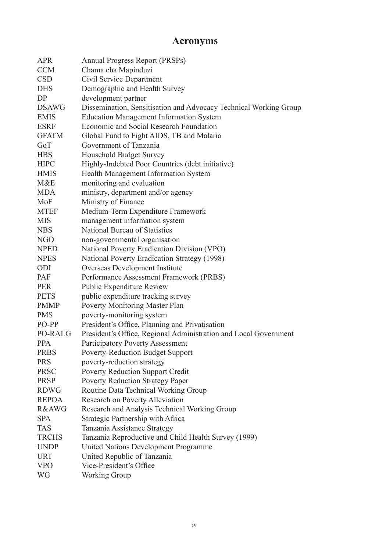# **Acronyms**

| <b>APR</b>       | <b>Annual Progress Report (PRSPs)</b>                             |
|------------------|-------------------------------------------------------------------|
| <b>CCM</b>       | Chama cha Mapinduzi                                               |
| <b>CSD</b>       | Civil Service Department                                          |
| <b>DHS</b>       | Demographic and Health Survey                                     |
| DP               | development partner                                               |
| <b>DSAWG</b>     | Dissemination, Sensitisation and Advocacy Technical Working Group |
| <b>EMIS</b>      | <b>Education Management Information System</b>                    |
| <b>ESRF</b>      | Economic and Social Research Foundation                           |
| <b>GFATM</b>     | Global Fund to Fight AIDS, TB and Malaria                         |
| GoT              | Government of Tanzania                                            |
| <b>HBS</b>       | <b>Household Budget Survey</b>                                    |
| <b>HIPC</b>      | Highly-Indebted Poor Countries (debt initiative)                  |
| <b>HMIS</b>      | Health Management Information System                              |
| M&E              | monitoring and evaluation                                         |
| <b>MDA</b>       | ministry, department and/or agency                                |
| MoF              | Ministry of Finance                                               |
| <b>MTEF</b>      | Medium-Term Expenditure Framework                                 |
| <b>MIS</b>       | management information system                                     |
| <b>NBS</b>       | National Bureau of Statistics                                     |
| <b>NGO</b>       | non-governmental organisation                                     |
| <b>NPED</b>      | National Poverty Eradication Division (VPO)                       |
| <b>NPES</b>      | National Poverty Eradication Strategy (1998)                      |
| ODI              | Overseas Development Institute                                    |
| PAF              | Performance Assessment Framework (PRBS)                           |
| <b>PER</b>       | <b>Public Expenditure Review</b>                                  |
| <b>PETS</b>      | public expenditure tracking survey                                |
| <b>PMMP</b>      | Poverty Monitoring Master Plan                                    |
| <b>PMS</b>       | poverty-monitoring system                                         |
| PO-PP            | President's Office, Planning and Privatisation                    |
| PO-RALG          | President's Office, Regional Administration and Local Government  |
| <b>PPA</b>       | <b>Participatory Poverty Assessment</b>                           |
| <b>PRBS</b>      | Poverty-Reduction Budget Support                                  |
| <b>PRS</b>       | poverty-reduction strategy                                        |
| <b>PRSC</b>      | Poverty Reduction Support Credit                                  |
| <b>PRSP</b>      | <b>Poverty Reduction Strategy Paper</b>                           |
| <b>RDWG</b>      | Routine Data Technical Working Group                              |
| <b>REPOA</b>     | Research on Poverty Alleviation                                   |
| <b>R&amp;AWG</b> | Research and Analysis Technical Working Group                     |
| <b>SPA</b>       | Strategic Partnership with Africa                                 |
| <b>TAS</b>       | Tanzania Assistance Strategy                                      |
| <b>TRCHS</b>     | Tanzania Reproductive and Child Health Survey (1999)              |
| <b>UNDP</b>      | <b>United Nations Development Programme</b>                       |
| <b>URT</b>       | United Republic of Tanzania                                       |
| <b>VPO</b>       | Vice-President's Office                                           |
| WG               | <b>Working Group</b>                                              |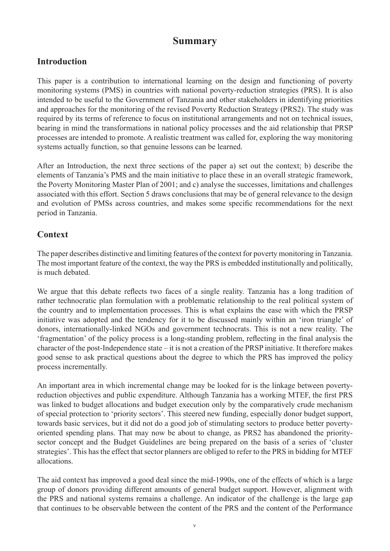# **Summary**

# **Introduction**

This paper is a contribution to international learning on the design and functioning of poverty monitoring systems (PMS) in countries with national poverty-reduction strategies (PRS). It is also intended to be useful to the Government of Tanzania and other stakeholders in identifying priorities and approaches for the monitoring of the revised Poverty Reduction Strategy (PRS2). The study was required by its terms of reference to focus on institutional arrangements and not on technical issues, bearing in mind the transformations in national policy processes and the aid relationship that PRSP processes are intended to promote. A realistic treatment was called for, exploring the way monitoring systems actually function, so that genuine lessons can be learned.

After an Introduction, the next three sections of the paper a) set out the context; b) describe the elements of Tanzania's PMS and the main initiative to place these in an overall strategic framework, the Poverty Monitoring Master Plan of 2001; and c) analyse the successes, limitations and challenges associated with this effort. Section 5 draws conclusions that may be of general relevance to the design and evolution of PMSs across countries, and makes some specific recommendations for the next period in Tanzania.

# **Context**

The paper describes distinctive and limiting features of the context for poverty monitoring in Tanzania. The most important feature of the context, the way the PRS is embedded institutionally and politically, is much debated.

We argue that this debate reflects two faces of a single reality. Tanzania has a long tradition of rather technocratic plan formulation with a problematic relationship to the real political system of the country and to implementation processes. This is what explains the ease with which the PRSP initiative was adopted and the tendency for it to be discussed mainly within an 'iron triangle' of donors, internationally-linked NGOs and government technocrats. This is not a new reality. The 'fragmentation' of the policy process is a long-standing problem, reflecting in the final analysis the character of the post-Independence state – it is not a creation of the PRSP initiative. It therefore makes good sense to ask practical questions about the degree to which the PRS has improved the policy process incrementally.

An important area in which incremental change may be looked for is the linkage between povertyreduction objectives and public expenditure. Although Tanzania has a working MTEF, the first PRS was linked to budget allocations and budget execution only by the comparatively crude mechanism of special protection to 'priority sectors'. This steered new funding, especially donor budget support, towards basic services, but it did not do a good job of stimulating sectors to produce better povertyoriented spending plans. That may now be about to change, as PRS2 has abandoned the prioritysector concept and the Budget Guidelines are being prepared on the basis of a series of 'cluster strategies'. This has the effect that sector planners are obliged to refer to the PRS in bidding for MTEF allocations.

The aid context has improved a good deal since the mid-1990s, one of the effects of which is a large group of donors providing different amounts of general budget support. However, alignment with the PRS and national systems remains a challenge. An indicator of the challenge is the large gap that continues to be observable between the content of the PRS and the content of the Performance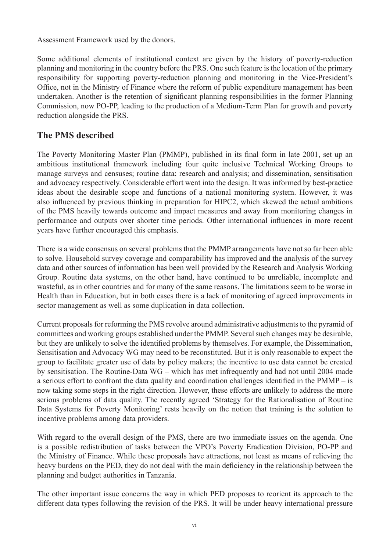Assessment Framework used by the donors.

Some additional elements of institutional context are given by the history of poverty-reduction planning and monitoring in the country before the PRS. One such feature is the location of the primary responsibility for supporting poverty-reduction planning and monitoring in the Vice-President's Office, not in the Ministry of Finance where the reform of public expenditure management has been undertaken. Another is the retention of significant planning responsibilities in the former Planning Commission, now PO-PP, leading to the production of a Medium-Term Plan for growth and poverty reduction alongside the PRS.

## **The PMS described**

The Poverty Monitoring Master Plan (PMMP), published in its final form in late 2001, set up an ambitious institutional framework including four quite inclusive Technical Working Groups to manage surveys and censuses; routine data; research and analysis; and dissemination, sensitisation and advocacy respectively. Considerable effort went into the design. It was informed by best-practice ideas about the desirable scope and functions of a national monitoring system. However, it was also influenced by previous thinking in preparation for HIPC2, which skewed the actual ambitions of the PMS heavily towards outcome and impact measures and away from monitoring changes in performance and outputs over shorter time periods. Other international influences in more recent years have further encouraged this emphasis.

There is a wide consensus on several problems that the PMMP arrangements have not so far been able to solve. Household survey coverage and comparability has improved and the analysis of the survey data and other sources of information has been well provided by the Research and Analysis Working Group. Routine data systems, on the other hand, have continued to be unreliable, incomplete and wasteful, as in other countries and for many of the same reasons. The limitations seem to be worse in Health than in Education, but in both cases there is a lack of monitoring of agreed improvements in sector management as well as some duplication in data collection.

Current proposals for reforming the PMS revolve around administrative adjustments to the pyramid of committees and working groups established under the PMMP. Several such changes may be desirable, but they are unlikely to solve the identified problems by themselves. For example, the Dissemination, Sensitisation and Advocacy WG may need to be reconstituted. But it is only reasonable to expect the group to facilitate greater use of data by policy makers; the incentive to use data cannot be created by sensitisation. The Routine-Data WG – which has met infrequently and had not until 2004 made a serious effort to confront the data quality and coordination challenges identified in the PMMP – is now taking some steps in the right direction. However, these efforts are unlikely to address the more serious problems of data quality. The recently agreed 'Strategy for the Rationalisation of Routine Data Systems for Poverty Monitoring' rests heavily on the notion that training is the solution to incentive problems among data providers.

With regard to the overall design of the PMS, there are two immediate issues on the agenda. One is a possible redistribution of tasks between the VPO's Poverty Eradication Division, PO-PP and the Ministry of Finance. While these proposals have attractions, not least as means of relieving the heavy burdens on the PED, they do not deal with the main deficiency in the relationship between the planning and budget authorities in Tanzania.

The other important issue concerns the way in which PED proposes to reorient its approach to the different data types following the revision of the PRS. It will be under heavy international pressure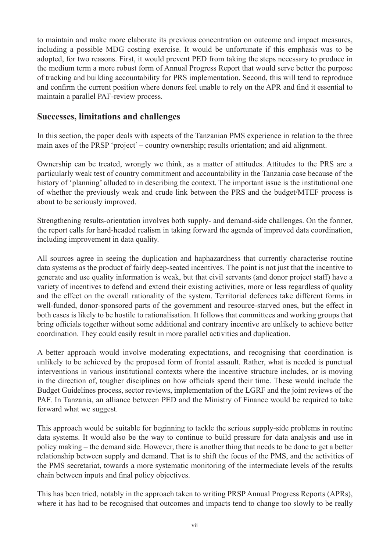to maintain and make more elaborate its previous concentration on outcome and impact measures, including a possible MDG costing exercise. It would be unfortunate if this emphasis was to be adopted, for two reasons. First, it would prevent PED from taking the steps necessary to produce in the medium term a more robust form of Annual Progress Report that would serve better the purpose of tracking and building accountability for PRS implementation. Second, this will tend to reproduce and confirm the current position where donors feel unable to rely on the APR and find it essential to maintain a parallel PAF-review process.

#### **Successes, limitations and challenges**

In this section, the paper deals with aspects of the Tanzanian PMS experience in relation to the three main axes of the PRSP 'project' – country ownership; results orientation; and aid alignment.

Ownership can be treated, wrongly we think, as a matter of attitudes. Attitudes to the PRS are a particularly weak test of country commitment and accountability in the Tanzania case because of the history of 'planning' alluded to in describing the context. The important issue is the institutional one of whether the previously weak and crude link between the PRS and the budget/MTEF process is about to be seriously improved.

Strengthening results-orientation involves both supply- and demand-side challenges. On the former, the report calls for hard-headed realism in taking forward the agenda of improved data coordination, including improvement in data quality.

All sources agree in seeing the duplication and haphazardness that currently characterise routine data systems as the product of fairly deep-seated incentives. The point is not just that the incentive to generate and use quality information is weak, but that civil servants (and donor project staff) have a variety of incentives to defend and extend their existing activities, more or less regardless of quality and the effect on the overall rationality of the system. Territorial defences take different forms in well-funded, donor-sponsored parts of the government and resource-starved ones, but the effect in both cases is likely to be hostile to rationalisation. It follows that committees and working groups that bring officials together without some additional and contrary incentive are unlikely to achieve better coordination. They could easily result in more parallel activities and duplication.

A better approach would involve moderating expectations, and recognising that coordination is unlikely to be achieved by the proposed form of frontal assault. Rather, what is needed is punctual interventions in various institutional contexts where the incentive structure includes, or is moving in the direction of, tougher disciplines on how officials spend their time. These would include the Budget Guidelines process, sector reviews, implementation of the LGRF and the joint reviews of the PAF. In Tanzania, an alliance between PED and the Ministry of Finance would be required to take forward what we suggest.

This approach would be suitable for beginning to tackle the serious supply-side problems in routine data systems. It would also be the way to continue to build pressure for data analysis and use in policy making – the demand side. However, there is another thing that needs to be done to get a better relationship between supply and demand. That is to shift the focus of the PMS, and the activities of the PMS secretariat, towards a more systematic monitoring of the intermediate levels of the results chain between inputs and final policy objectives.

This has been tried, notably in the approach taken to writing PRSP Annual Progress Reports (APRs), where it has had to be recognised that outcomes and impacts tend to change too slowly to be really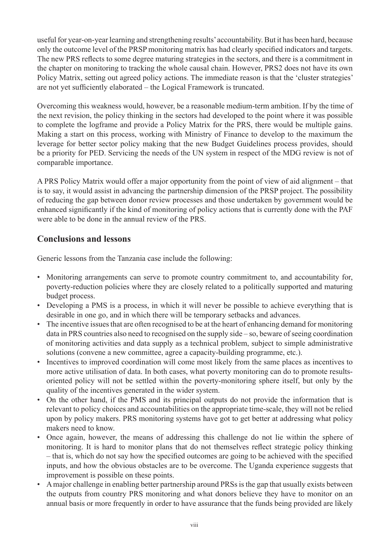useful for year-on-year learning and strengthening results' accountability. But it has been hard, because only the outcome level of the PRSP monitoring matrix has had clearly specified indicators and targets. The new PRS reflects to some degree maturing strategies in the sectors, and there is a commitment in the chapter on monitoring to tracking the whole causal chain. However, PRS2 does not have its own Policy Matrix, setting out agreed policy actions. The immediate reason is that the 'cluster strategies' are not yet sufficiently elaborated – the Logical Framework is truncated.

Overcoming this weakness would, however, be a reasonable medium-term ambition. If by the time of the next revision, the policy thinking in the sectors had developed to the point where it was possible to complete the logframe and provide a Policy Matrix for the PRS, there would be multiple gains. Making a start on this process, working with Ministry of Finance to develop to the maximum the leverage for better sector policy making that the new Budget Guidelines process provides, should be a priority for PED. Servicing the needs of the UN system in respect of the MDG review is not of comparable importance.

A PRS Policy Matrix would offer a major opportunity from the point of view of aid alignment – that is to say, it would assist in advancing the partnership dimension of the PRSP project. The possibility of reducing the gap between donor review processes and those undertaken by government would be enhanced significantly if the kind of monitoring of policy actions that is currently done with the PAF were able to be done in the annual review of the PRS.

### **Conclusions and lessons**

Generic lessons from the Tanzania case include the following:

- Monitoring arrangements can serve to promote country commitment to, and accountability for, poverty-reduction policies where they are closely related to a politically supported and maturing budget process.
- Developing a PMS is a process, in which it will never be possible to achieve everything that is desirable in one go, and in which there will be temporary setbacks and advances.
- The incentive issues that are often recognised to be at the heart of enhancing demand for monitoring data in PRS countries also need to recognised on the supply side – so, beware of seeing coordination of monitoring activities and data supply as a technical problem, subject to simple administrative solutions (convene a new committee, agree a capacity-building programme, etc.).
- Incentives to improved coordination will come most likely from the same places as incentives to more active utilisation of data. In both cases, what poverty monitoring can do to promote resultsoriented policy will not be settled within the poverty-monitoring sphere itself, but only by the quality of the incentives generated in the wider system. •
- On the other hand, if the PMS and its principal outputs do not provide the information that is relevant to policy choices and accountabilities on the appropriate time-scale, they will not be relied upon by policy makers. PRS monitoring systems have got to get better at addressing what policy makers need to know. •
- Once again, however, the means of addressing this challenge do not lie within the sphere of monitoring. It is hard to monitor plans that do not themselves reflect strategic policy thinking – that is, which do not say how the specified outcomes are going to be achieved with the specified inputs, and how the obvious obstacles are to be overcome. The Uganda experience suggests that improvement is possible on these points.
- A major challenge in enabling better partnership around PRSs is the gap that usually exists between the outputs from country PRS monitoring and what donors believe they have to monitor on an annual basis or more frequently in order to have assurance that the funds being provided are likely •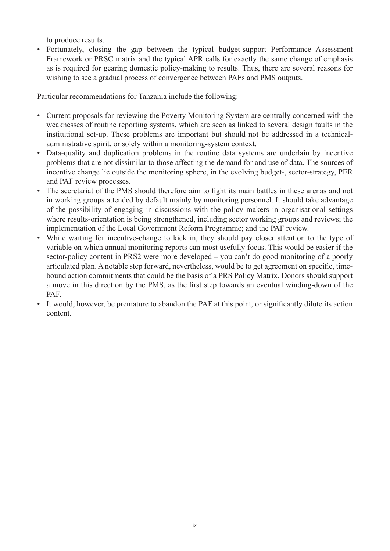to produce results.

• Fortunately, closing the gap between the typical budget-support Performance Assessment Framework or PRSC matrix and the typical APR calls for exactly the same change of emphasis as is required for gearing domestic policy-making to results. Thus, there are several reasons for wishing to see a gradual process of convergence between PAFs and PMS outputs.

Particular recommendations for Tanzania include the following:

- Current proposals for reviewing the Poverty Monitoring System are centrally concerned with the weaknesses of routine reporting systems, which are seen as linked to several design faults in the institutional set-up. These problems are important but should not be addressed in a technicaladministrative spirit, or solely within a monitoring-system context.
- Data-quality and duplication problems in the routine data systems are underlain by incentive problems that are not dissimilar to those affecting the demand for and use of data. The sources of incentive change lie outside the monitoring sphere, in the evolving budget-, sector-strategy, PER and PAF review processes. •
- The secretariat of the PMS should therefore aim to fight its main battles in these arenas and not in working groups attended by default mainly by monitoring personnel. It should take advantage of the possibility of engaging in discussions with the policy makers in organisational settings where results-orientation is being strengthened, including sector working groups and reviews; the implementation of the Local Government Reform Programme; and the PAF review. •
- While waiting for incentive-change to kick in, they should pay closer attention to the type of variable on which annual monitoring reports can most usefully focus. This would be easier if the sector-policy content in PRS2 were more developed – you can't do good monitoring of a poorly articulated plan. A notable step forward, nevertheless, would be to get agreement on specific, timebound action commitments that could be the basis of a PRS Policy Matrix. Donors should support a move in this direction by the PMS, as the first step towards an eventual winding-down of the PAF.
- It would, however, be premature to abandon the PAF at this point, or significantly dilute its action content.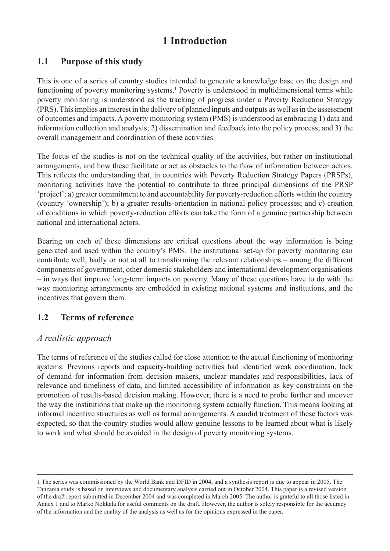# **1 Introduction**

# **1.1 Purpose of this study**

This is one of a series of country studies intended to generate a knowledge base on the design and functioning of poverty monitoring systems.<sup>1</sup> Poverty is understood in multidimensional terms while poverty monitoring is understood as the tracking of progress under a Poverty Reduction Strategy (PRS). This implies an interest in the delivery of planned inputs and outputs as well as in the assessment of outcomes and impacts. A poverty monitoring system (PMS) is understood as embracing 1) data and information collection and analysis; 2) dissemination and feedback into the policy process; and 3) the overall management and coordination of these activities.

The focus of the studies is not on the technical quality of the activities, but rather on institutional arrangements, and how these facilitate or act as obstacles to the flow of information between actors. This reflects the understanding that, in countries with Poverty Reduction Strategy Papers (PRSPs), monitoring activities have the potential to contribute to three principal dimensions of the PRSP 'project': a) greater commitment to and accountability for poverty-reduction efforts within the country (country 'ownership'); b) a greater results-orientation in national policy processes; and c) creation of conditions in which poverty-reduction efforts can take the form of a genuine partnership between national and international actors.

Bearing on each of these dimensions are critical questions about the way information is being generated and used within the country's PMS. The institutional set-up for poverty monitoring can contribute well, badly or not at all to transforming the relevant relationships – among the different components of government, other domestic stakeholders and international development organisations – in ways that improve long-term impacts on poverty. Many of these questions have to do with the way monitoring arrangements are embedded in existing national systems and institutions, and the incentives that govern them.

# **1.2 Terms of reference**

### *A realistic approach*

The terms of reference of the studies called for close attention to the actual functioning of monitoring systems. Previous reports and capacity-building activities had identified weak coordination, lack of demand for information from decision makers, unclear mandates and responsibilities, lack of relevance and timeliness of data, and limited accessibility of information as key constraints on the promotion of results-based decision making. However, there is a need to probe further and uncover the way the institutions that make up the monitoring system actually function. This means looking at informal incentive structures as well as formal arrangements. A candid treatment of these factors was expected, so that the country studies would allow genuine lessons to be learned about what is likely to work and what should be avoided in the design of poverty monitoring systems.

<sup>1</sup> The series was commissioned by the World Bank and DFID in 2004, and a synthesis report is due to appear in 2005. The Tanzania study is based on interviews and documentary analysis carried out in October 2004. This paper is a revised version of the draft report submitted in December 2004 and was completed in March 2005. The author is grateful to all those listed in Annex 1 and to Marko Nokkala for useful comments on the draft. However, the author is solely responsible for the accuracy of the information and the quality of the analysis as well as for the opinions expressed in the paper.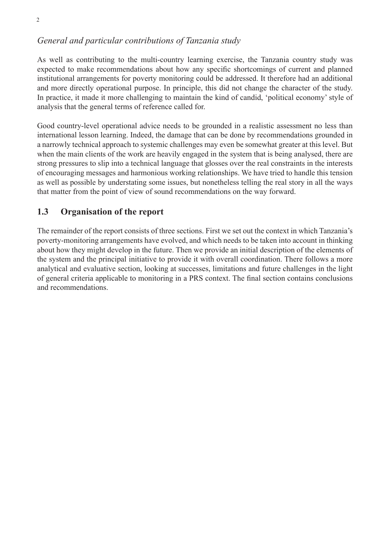# *General and particular contributions of Tanzania study*

As well as contributing to the multi-country learning exercise, the Tanzania country study was expected to make recommendations about how any specific shortcomings of current and planned institutional arrangements for poverty monitoring could be addressed. It therefore had an additional and more directly operational purpose. In principle, this did not change the character of the study. In practice, it made it more challenging to maintain the kind of candid, 'political economy' style of analysis that the general terms of reference called for.

Good country-level operational advice needs to be grounded in a realistic assessment no less than international lesson learning. Indeed, the damage that can be done by recommendations grounded in a narrowly technical approach to systemic challenges may even be somewhat greater at this level. But when the main clients of the work are heavily engaged in the system that is being analysed, there are strong pressures to slip into a technical language that glosses over the real constraints in the interests of encouraging messages and harmonious working relationships. We have tried to handle this tension as well as possible by understating some issues, but nonetheless telling the real story in all the ways that matter from the point of view of sound recommendations on the way forward.

# **1.3 Organisation of the report**

The remainder of the report consists of three sections. First we set out the context in which Tanzania's poverty-monitoring arrangements have evolved, and which needs to be taken into account in thinking about how they might develop in the future. Then we provide an initial description of the elements of the system and the principal initiative to provide it with overall coordination. There follows a more analytical and evaluative section, looking at successes, limitations and future challenges in the light of general criteria applicable to monitoring in a PRS context. The final section contains conclusions and recommendations.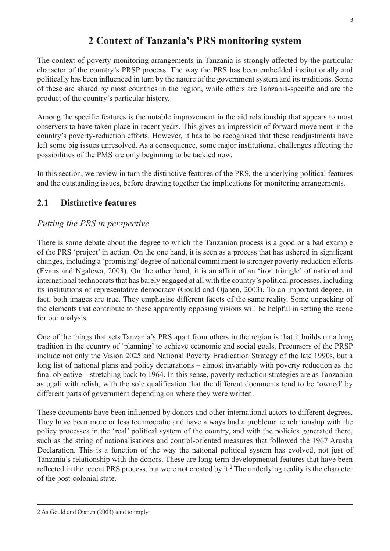# **2 Context of Tanzania's PRS monitoring system**

The context of poverty monitoring arrangements in Tanzania is strongly affected by the particular character of the country's PRSP process. The way the PRS has been embedded institutionally and politically has been influenced in turn by the nature of the government system and its traditions. Some of these are shared by most countries in the region, while others are Tanzania-specific and are the product of the country's particular history.

Among the specific features is the notable improvement in the aid relationship that appears to most observers to have taken place in recent years. This gives an impression of forward movement in the country's poverty-reduction efforts. However, it has to be recognised that these readjustments have left some big issues unresolved. As a consequence, some major institutional challenges affecting the possibilities of the PMS are only beginning to be tackled now.

In this section, we review in turn the distinctive features of the PRS, the underlying political features and the outstanding issues, before drawing together the implications for monitoring arrangements.

#### **2.1 Distinctive features**

#### *Putting the PRS in perspective*

There is some debate about the degree to which the Tanzanian process is a good or a bad example of the PRS 'project' in action. On the one hand, it is seen as a process that has ushered in significant changes, including a 'promising' degree of national commitment to stronger poverty-reduction efforts (Evans and Ngalewa, 2003). On the other hand, it is an affair of an 'iron triangle' of national and international technocrats that has barely engaged at all with the country's political processes, including its institutions of representative democracy (Gould and Ojanen, 2003). To an important degree, in fact, both images are true. They emphasise different facets of the same reality. Some unpacking of the elements that contribute to these apparently opposing visions will be helpful in setting the scene for our analysis.

One of the things that sets Tanzania's PRS apart from others in the region is that it builds on a long tradition in the country of 'planning' to achieve economic and social goals. Precursors of the PRSP include not only the Vision 2025 and National Poverty Eradication Strategy of the late 1990s, but a long list of national plans and policy declarations – almost invariably with poverty reduction as the final objective – stretching back to 1964. In this sense, poverty-reduction strategies are as Tanzanian as ugali with relish, with the sole qualification that the different documents tend to be 'owned' by different parts of government depending on where they were written.

These documents have been influenced by donors and other international actors to different degrees. They have been more or less technocratic and have always had a problematic relationship with the policy processes in the 'real' political system of the country, and with the policies generated there, such as the string of nationalisations and control-oriented measures that followed the 1967 Arusha Declaration. This is a function of the way the national political system has evolved, not just of Tanzania's relationship with the donors. These are long-term developmental features that have been reflected in the recent PRS process, but were not created by it.<sup>2</sup> The underlying reality is the character of the post-colonial state.

<sup>2</sup> As Gould and Ojanen (2003) tend to imply.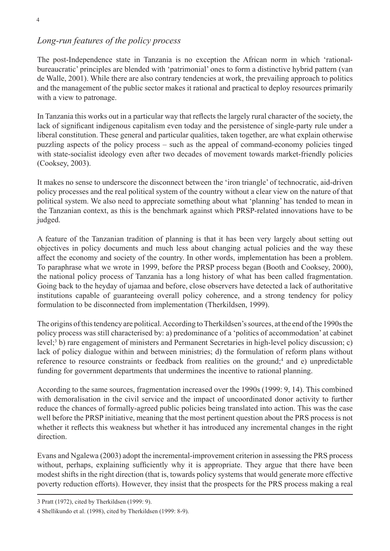### *Long-run features of the policy process*

The post-Independence state in Tanzania is no exception the African norm in which 'rationalbureaucratic' principles are blended with 'patrimonial' ones to form a distinctive hybrid pattern (van de Walle, 2001). While there are also contrary tendencies at work, the prevailing approach to politics and the management of the public sector makes it rational and practical to deploy resources primarily with a view to patronage.

In Tanzania this works out in a particular way that reflects the largely rural character of the society, the lack of significant indigenous capitalism even today and the persistence of single-party rule under a liberal constitution. These general and particular qualities, taken together, are what explain otherwise puzzling aspects of the policy process – such as the appeal of command-economy policies tinged with state-socialist ideology even after two decades of movement towards market-friendly policies (Cooksey, 2003).

It makes no sense to underscore the disconnect between the 'iron triangle' of technocratic, aid-driven policy processes and the real political system of the country without a clear view on the nature of that political system. We also need to appreciate something about what 'planning' has tended to mean in the Tanzanian context, as this is the benchmark against which PRSP-related innovations have to be judged.

A feature of the Tanzanian tradition of planning is that it has been very largely about setting out objectives in policy documents and much less about changing actual policies and the way these affect the economy and society of the country. In other words, implementation has been a problem. To paraphrase what we wrote in 1999, before the PRSP process began (Booth and Cooksey, 2000), the national policy process of Tanzania has a long history of what has been called fragmentation. Going back to the heyday of ujamaa and before, close observers have detected a lack of authoritative institutions capable of guaranteeing overall policy coherence, and a strong tendency for policy formulation to be disconnected from implementation (Therkildsen, 1999).

The origins of this tendency are political. According to Therkildsen's sources, at the end of the 1990s the policy process was still characterised by: a) predominance of a 'politics of accommodation' at cabinet level;3 b) rare engagement of ministers and Permanent Secretaries in high-level policy discussion; c) lack of policy dialogue within and between ministries; d) the formulation of reform plans without reference to resource constraints or feedback from realities on the ground;<sup>4</sup> and e) unpredictable funding for government departments that undermines the incentive to rational planning.

According to the same sources, fragmentation increased over the 1990s (1999: 9, 14). This combined with demoralisation in the civil service and the impact of uncoordinated donor activity to further reduce the chances of formally-agreed public policies being translated into action. This was the case well before the PRSP initiative, meaning that the most pertinent question about the PRS process is not whether it reflects this weakness but whether it has introduced any incremental changes in the right direction.

Evans and Ngalewa (2003) adopt the incremental-improvement criterion in assessing the PRS process without, perhaps, explaining sufficiently why it is appropriate. They argue that there have been modest shifts in the right direction (that is, towards policy systems that would generate more effective poverty reduction efforts). However, they insist that the prospects for the PRS process making a real

<sup>3</sup> Pratt (1972), cited by Therkildsen (1999: 9).

<sup>4</sup> Shellikundo et al. (1998), cited by Therkildsen (1999: 8-9).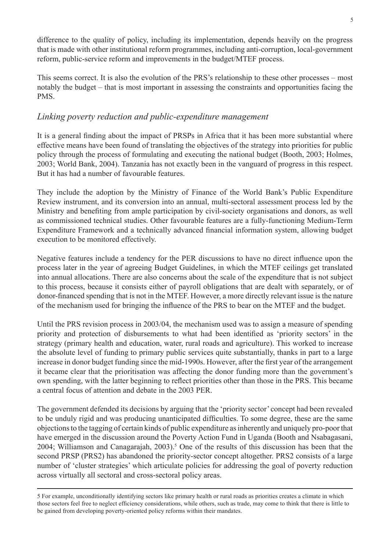difference to the quality of policy, including its implementation, depends heavily on the progress that is made with other institutional reform programmes, including anti-corruption, local-government reform, public-service reform and improvements in the budget/MTEF process.

This seems correct. It is also the evolution of the PRS's relationship to these other processes – most notably the budget – that is most important in assessing the constraints and opportunities facing the PMS.

### *Linking poverty reduction and public-expenditure management*

It is a general finding about the impact of PRSPs in Africa that it has been more substantial where effective means have been found of translating the objectives of the strategy into priorities for public policy through the process of formulating and executing the national budget (Booth, 2003; Holmes, 2003; World Bank, 2004). Tanzania has not exactly been in the vanguard of progress in this respect. But it has had a number of favourable features.

They include the adoption by the Ministry of Finance of the World Bank's Public Expenditure Review instrument, and its conversion into an annual, multi-sectoral assessment process led by the Ministry and benefiting from ample participation by civil-society organisations and donors, as well as commissioned technical studies. Other favourable features are a fully-functioning Medium-Term Expenditure Framework and a technically advanced financial information system, allowing budget execution to be monitored effectively.

Negative features include a tendency for the PER discussions to have no direct influence upon the process later in the year of agreeing Budget Guidelines, in which the MTEF ceilings get translated into annual allocations. There are also concerns about the scale of the expenditure that is not subject to this process, because it consists either of payroll obligations that are dealt with separately, or of donor-financed spending that is not in the MTEF. However, a more directly relevant issue is the nature of the mechanism used for bringing the influence of the PRS to bear on the MTEF and the budget.

Until the PRS revision process in 2003/04, the mechanism used was to assign a measure of spending priority and protection of disbursements to what had been identified as 'priority sectors' in the strategy (primary health and education, water, rural roads and agriculture). This worked to increase the absolute level of funding to primary public services quite substantially, thanks in part to a large increase in donor budget funding since the mid-1990s. However, after the first year of the arrangement it became clear that the prioritisation was affecting the donor funding more than the government's own spending, with the latter beginning to reflect priorities other than those in the PRS. This became a central focus of attention and debate in the 2003 PER.

The government defended its decisions by arguing that the 'priority sector' concept had been revealed to be unduly rigid and was producing unanticipated difficulties. To some degree, these are the same objections to the tagging of certain kinds of public expenditure as inherently and uniquely pro-poor that have emerged in the discussion around the Poverty Action Fund in Uganda (Booth and Nsabagasani, 2004; Williamson and Canagarajah, 2003).<sup>5</sup> One of the results of this discussion has been that the second PRSP (PRS2) has abandoned the priority-sector concept altogether. PRS2 consists of a large number of 'cluster strategies' which articulate policies for addressing the goal of poverty reduction across virtually all sectoral and cross-sectoral policy areas.

<sup>5</sup> For example, unconditionally identifying sectors like primary health or rural roads as priorities creates a climate in which those sectors feel free to neglect efficiency considerations, while others, such as trade, may come to think that there is little to be gained from developing poverty-oriented policy reforms within their mandates.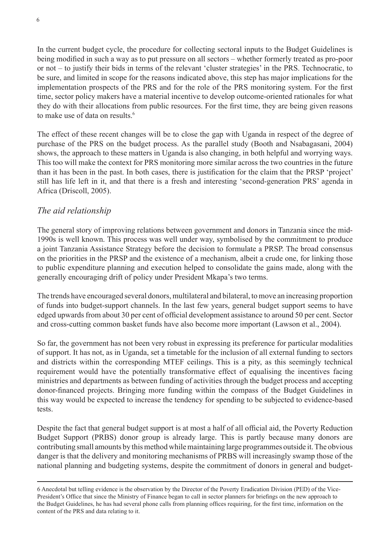In the current budget cycle, the procedure for collecting sectoral inputs to the Budget Guidelines is being modified in such a way as to put pressure on all sectors – whether formerly treated as pro-poor or not – to justify their bids in terms of the relevant 'cluster strategies' in the PRS. Technocratic, to be sure, and limited in scope for the reasons indicated above, this step has major implications for the implementation prospects of the PRS and for the role of the PRS monitoring system. For the first time, sector policy makers have a material incentive to develop outcome-oriented rationales for what they do with their allocations from public resources. For the first time, they are being given reasons to make use of data on results.<sup>6</sup>

The effect of these recent changes will be to close the gap with Uganda in respect of the degree of purchase of the PRS on the budget process. As the parallel study (Booth and Nsabagasani, 2004) shows, the approach to these matters in Uganda is also changing, in both helpful and worrying ways. This too will make the context for PRS monitoring more similar across the two countries in the future than it has been in the past. In both cases, there is justification for the claim that the PRSP 'project' still has life left in it, and that there is a fresh and interesting 'second-generation PRS' agenda in Africa (Driscoll, 2005).

### *The aid relationship*

The general story of improving relations between government and donors in Tanzania since the mid-1990s is well known. This process was well under way, symbolised by the commitment to produce a joint Tanzania Assistance Strategy before the decision to formulate a PRSP. The broad consensus on the priorities in the PRSP and the existence of a mechanism, albeit a crude one, for linking those to public expenditure planning and execution helped to consolidate the gains made, along with the generally encouraging drift of policy under President Mkapa's two terms.

The trends have encouraged several donors, multilateral and bilateral, to move an increasing proportion of funds into budget-support channels. In the last few years, general budget support seems to have edged upwards from about 30 per cent of official development assistance to around 50 per cent. Sector and cross-cutting common basket funds have also become more important (Lawson et al., 2004).

So far, the government has not been very robust in expressing its preference for particular modalities of support. It has not, as in Uganda, set a timetable for the inclusion of all external funding to sectors and districts within the corresponding MTEF ceilings. This is a pity, as this seemingly technical requirement would have the potentially transformative effect of equalising the incentives facing ministries and departments as between funding of activities through the budget process and accepting donor-financed projects. Bringing more funding within the compass of the Budget Guidelines in this way would be expected to increase the tendency for spending to be subjected to evidence-based tests.

Despite the fact that general budget support is at most a half of all official aid, the Poverty Reduction Budget Support (PRBS) donor group is already large. This is partly because many donors are contributing small amounts by this method while maintaining large programmes outside it. The obvious danger is that the delivery and monitoring mechanisms of PRBS will increasingly swamp those of the national planning and budgeting systems, despite the commitment of donors in general and budget-

<sup>6</sup> Anecdotal but telling evidence is the observation by the Director of the Poverty Eradication Division (PED) of the Vice-President's Office that since the Ministry of Finance began to call in sector planners for briefings on the new approach to the Budget Guidelines, he has had several phone calls from planning offices requiring, for the first time, information on the content of the PRS and data relating to it.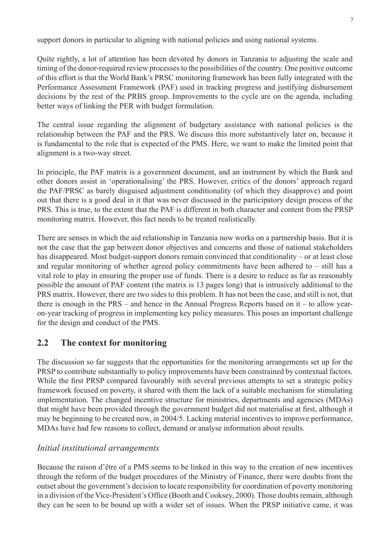support donors in particular to aligning with national policies and using national systems.

Quite rightly, a lot of attention has been devoted by donors in Tanzania to adjusting the scale and timing of the donor-required review processes to the possibilities of the country. One positive outcome of this effort is that the World Bank's PRSC monitoring framework has been fully integrated with the Performance Assessment Framework (PAF) used in tracking progress and justifying disbursement decisions by the rest of the PRBS group. Improvements to the cycle are on the agenda, including better ways of linking the PER with budget formulation.

The central issue regarding the alignment of budgetary assistance with national policies is the relationship between the PAF and the PRS. We discuss this more substantively later on, because it is fundamental to the role that is expected of the PMS. Here, we want to make the limited point that alignment is a two-way street.

In principle, the PAF matrix is a government document, and an instrument by which the Bank and other donors assist in 'operationalising' the PRS. However, critics of the donors' approach regard the PAF/PRSC as barely disguised adjustment conditionality (of which they disapprove) and point out that there is a good deal in it that was never discussed in the participatory design process of the PRS. This is true, to the extent that the PAF is different in both character and content from the PRSP monitoring matrix. However, this fact needs to be treated realistically.

There are senses in which the aid relationship in Tanzania now works on a partnership basis. But it is not the case that the gap between donor objectives and concerns and those of national stakeholders has disappeared. Most budget-support donors remain convinced that conditionality – or at least close and regular monitoring of whether agreed policy commitments have been adhered to – still has a vital role to play in ensuring the proper use of funds. There is a desire to reduce as far as reasonably possible the amount of PAF content (the matrix is 13 pages long) that is intrusively additional to the PRS matrix. However, there are two sides to this problem. It has not been the case, and still is not, that there is enough in the PRS – and hence in the Annual Progress Reports based on it – to allow yearon-year tracking of progress in implementing key policy measures. This poses an important challenge for the design and conduct of the PMS.

### **2.2 The context for monitoring**

The discussion so far suggests that the opportunities for the monitoring arrangements set up for the PRSP to contribute substantially to policy improvements have been constrained by contextual factors. While the first PRSP compared favourably with several previous attempts to set a strategic policy framework focused on poverty, it shared with them the lack of a suitable mechanism for stimulating implementation. The changed incentive structure for ministries, departments and agencies (MDAs) that might have been provided through the government budget did not materialise at first, although it may be beginning to be created now, in 2004/5. Lacking material incentives to improve performance, MDAs have had few reasons to collect, demand or analyse information about results.

### *Initial institutional arrangements*

Because the raison d'être of a PMS seems to be linked in this way to the creation of new incentives through the reform of the budget procedures of the Ministry of Finance, there were doubts from the outset about the government's decision to locate responsibility for coordination of poverty monitoring in a division of the Vice-President's Office (Booth and Cooksey, 2000). Those doubts remain, although they can be seen to be bound up with a wider set of issues. When the PRSP initiative came, it was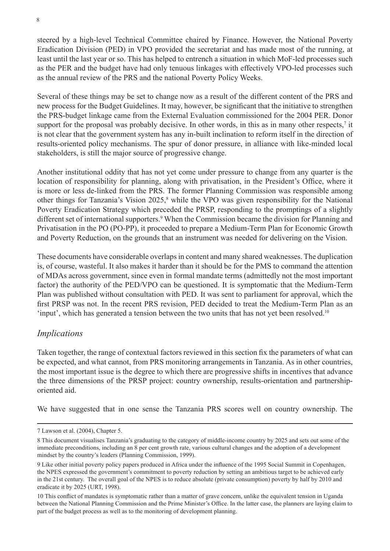steered by a high-level Technical Committee chaired by Finance. However, the National Poverty Eradication Division (PED) in VPO provided the secretariat and has made most of the running, at least until the last year or so. This has helped to entrench a situation in which MoF-led processes such as the PER and the budget have had only tenuous linkages with effectively VPO-led processes such as the annual review of the PRS and the national Poverty Policy Weeks.

Several of these things may be set to change now as a result of the different content of the PRS and new process for the Budget Guidelines. It may, however, be significant that the initiative to strengthen the PRS-budget linkage came from the External Evaluation commissioned for the 2004 PER. Donor support for the proposal was probably decisive. In other words, in this as in many other respects,<sup>7</sup> it is not clear that the government system has any in-built inclination to reform itself in the direction of results-oriented policy mechanisms. The spur of donor pressure, in alliance with like-minded local stakeholders, is still the major source of progressive change.

Another institutional oddity that has not yet come under pressure to change from any quarter is the location of responsibility for planning, along with privatisation, in the President's Office, where it is more or less de-linked from the PRS. The former Planning Commission was responsible among other things for Tanzania's Vision 2025,<sup>8</sup> while the VPO was given responsibility for the National Poverty Eradication Strategy which preceded the PRSP, responding to the promptings of a slightly different set of international supporters.<sup>9</sup> When the Commission became the division for Planning and Privatisation in the PO (PO-PP), it proceeded to prepare a Medium-Term Plan for Economic Growth and Poverty Reduction, on the grounds that an instrument was needed for delivering on the Vision.

These documents have considerable overlaps in content and many shared weaknesses. The duplication is, of course, wasteful. It also makes it harder than it should be for the PMS to command the attention of MDAs across government, since even in formal mandate terms (admittedly not the most important factor) the authority of the PED/VPO can be questioned. It is symptomatic that the Medium-Term Plan was published without consultation with PED. It was sent to parliament for approval, which the first PRSP was not. In the recent PRS revision, PED decided to treat the Medium-Term Plan as an 'input', which has generated a tension between the two units that has not yet been resolved.<sup>10</sup>

### *Implications*

Taken together, the range of contextual factors reviewed in this section fix the parameters of what can be expected, and what cannot, from PRS monitoring arrangements in Tanzania. As in other countries, the most important issue is the degree to which there are progressive shifts in incentives that advance the three dimensions of the PRSP project: country ownership, results-orientation and partnershiporiented aid.

We have suggested that in one sense the Tanzania PRS scores well on country ownership. The

<sup>7</sup> Lawson et al. (2004), Chapter 5.

<sup>8</sup> This document visualises Tanzania's graduating to the category of middle-income country by 2025 and sets out some of the immediate preconditions, including an 8 per cent growth rate, various cultural changes and the adoption of a development mindset by the country's leaders (Planning Commission, 1999).

<sup>9</sup> Like other initial poverty policy papers produced in Africa under the influence of the 1995 Social Summit in Copenhagen, the NPES expressed the government's commitment to poverty reduction by setting an ambitious target to be achieved early in the 21st century. The overall goal of the NPES is to reduce absolute (private consumption) poverty by half by 2010 and eradicate it by 2025 (URT, 1998).

<sup>10</sup> This conflict of mandates is symptomatic rather than a matter of grave concern, unlike the equivalent tension in Uganda between the National Planning Commission and the Prime Minister's Office. In the latter case, the planners are laying claim to part of the budget process as well as to the monitoring of development planning.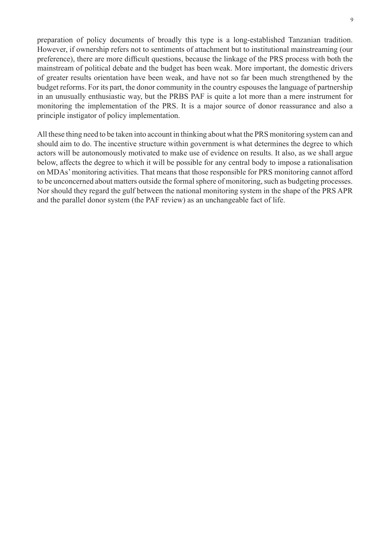preparation of policy documents of broadly this type is a long-established Tanzanian tradition. However, if ownership refers not to sentiments of attachment but to institutional mainstreaming (our preference), there are more difficult questions, because the linkage of the PRS process with both the mainstream of political debate and the budget has been weak. More important, the domestic drivers of greater results orientation have been weak, and have not so far been much strengthened by the budget reforms. For its part, the donor community in the country espouses the language of partnership in an unusually enthusiastic way, but the PRBS PAF is quite a lot more than a mere instrument for monitoring the implementation of the PRS. It is a major source of donor reassurance and also a principle instigator of policy implementation.

All these thing need to be taken into account in thinking about what the PRS monitoring system can and should aim to do. The incentive structure within government is what determines the degree to which actors will be autonomously motivated to make use of evidence on results. It also, as we shall argue below, affects the degree to which it will be possible for any central body to impose a rationalisation on MDAs' monitoring activities. That means that those responsible for PRS monitoring cannot afford to be unconcerned about matters outside the formal sphere of monitoring, such as budgeting processes. Nor should they regard the gulf between the national monitoring system in the shape of the PRS APR and the parallel donor system (the PAF review) as an unchangeable fact of life.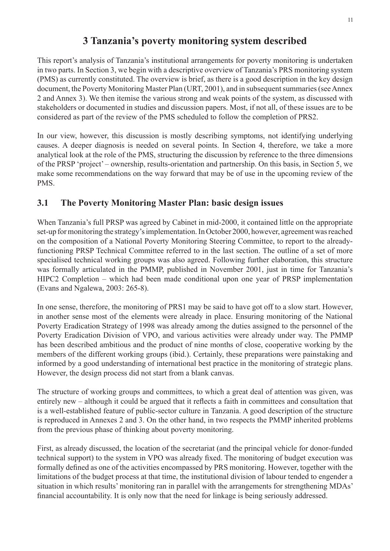# **3 Tanzania's poverty monitoring system described**

This report's analysis of Tanzania's institutional arrangements for poverty monitoring is undertaken in two parts. In Section 3, we begin with a descriptive overview of Tanzania's PRS monitoring system (PMS) as currently constituted. The overview is brief, as there is a good description in the key design document, the Poverty Monitoring Master Plan (URT, 2001), and in subsequent summaries (see Annex 2 and Annex 3). We then itemise the various strong and weak points of the system, as discussed with stakeholders or documented in studies and discussion papers. Most, if not all, of these issues are to be considered as part of the review of the PMS scheduled to follow the completion of PRS2.

In our view, however, this discussion is mostly describing symptoms, not identifying underlying causes. A deeper diagnosis is needed on several points. In Section 4, therefore, we take a more analytical look at the role of the PMS, structuring the discussion by reference to the three dimensions of the PRSP 'project' – ownership, results-orientation and partnership. On this basis, in Section 5, we make some recommendations on the way forward that may be of use in the upcoming review of the PMS.

# **3.1 The Poverty Monitoring Master Plan: basic design issues**

When Tanzania's full PRSP was agreed by Cabinet in mid-2000, it contained little on the appropriate set-up for monitoring the strategy's implementation. In October 2000, however, agreement was reached on the composition of a National Poverty Monitoring Steering Committee, to report to the alreadyfunctioning PRSP Technical Committee referred to in the last section. The outline of a set of more specialised technical working groups was also agreed. Following further elaboration, this structure was formally articulated in the PMMP, published in November 2001, just in time for Tanzania's HIPC2 Completion – which had been made conditional upon one year of PRSP implementation (Evans and Ngalewa, 2003: 265-8).

In one sense, therefore, the monitoring of PRS1 may be said to have got off to a slow start. However, in another sense most of the elements were already in place. Ensuring monitoring of the National Poverty Eradication Strategy of 1998 was already among the duties assigned to the personnel of the Poverty Eradication Division of VPO, and various activities were already under way. The PMMP has been described ambitious and the product of nine months of close, cooperative working by the members of the different working groups (ibid.). Certainly, these preparations were painstaking and informed by a good understanding of international best practice in the monitoring of strategic plans. However, the design process did not start from a blank canvas.

The structure of working groups and committees, to which a great deal of attention was given, was entirely new – although it could be argued that it reflects a faith in committees and consultation that is a well-established feature of public-sector culture in Tanzania. A good description of the structure is reproduced in Annexes 2 and 3. On the other hand, in two respects the PMMP inherited problems from the previous phase of thinking about poverty monitoring.

First, as already discussed, the location of the secretariat (and the principal vehicle for donor-funded technical support) to the system in VPO was already fixed. The monitoring of budget execution was formally defined as one of the activities encompassed by PRS monitoring. However, together with the limitations of the budget process at that time, the institutional division of labour tended to engender a situation in which results' monitoring ran in parallel with the arrangements for strengthening MDAs' financial accountability. It is only now that the need for linkage is being seriously addressed.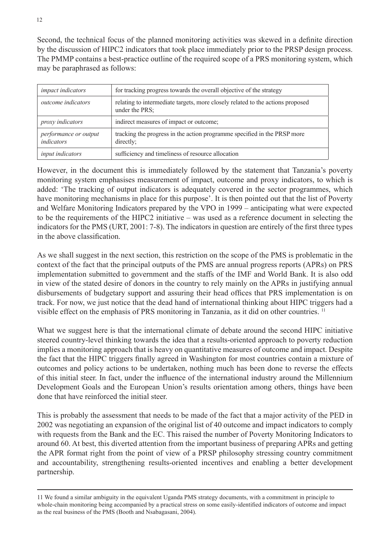Second, the technical focus of the planned monitoring activities was skewed in a definite direction by the discussion of HIPC2 indicators that took place immediately prior to the PRSP design process. The PMMP contains a best-practice outline of the required scope of a PRS monitoring system, which may be paraphrased as follows:

| impact indicators                   | for tracking progress towards the overall objective of the strategy                              |  |  |
|-------------------------------------|--------------------------------------------------------------------------------------------------|--|--|
| <i>outcome indicators</i>           | relating to intermediate targets, more closely related to the actions proposed<br>under the PRS; |  |  |
| proxy indicators                    | indirect measures of impact or outcome;                                                          |  |  |
| performance or output<br>indicators | tracking the progress in the action programme specified in the PRSP more<br>directly;            |  |  |
| input indicators                    | sufficiency and timeliness of resource allocation                                                |  |  |

However, in the document this is immediately followed by the statement that Tanzania's poverty monitoring system emphasises measurement of impact, outcome and proxy indicators, to which is added: 'The tracking of output indicators is adequately covered in the sector programmes, which have monitoring mechanisms in place for this purpose'. It is then pointed out that the list of Poverty and Welfare Monitoring Indicators prepared by the VPO in 1999 – anticipating what were expected to be the requirements of the HIPC2 initiative – was used as a reference document in selecting the indicators for the PMS (URT, 2001: 7-8). The indicators in question are entirely of the first three types in the above classification.

As we shall suggest in the next section, this restriction on the scope of the PMS is problematic in the context of the fact that the principal outputs of the PMS are annual progress reports (APRs) on PRS implementation submitted to government and the staffs of the IMF and World Bank. It is also odd in view of the stated desire of donors in the country to rely mainly on the APRs in justifying annual disbursements of budgetary support and assuring their head offices that PRS implementation is on track. For now, we just notice that the dead hand of international thinking about HIPC triggers had a visible effect on the emphasis of PRS monitoring in Tanzania, as it did on other countries. 11

What we suggest here is that the international climate of debate around the second HIPC initiative steered country-level thinking towards the idea that a results-oriented approach to poverty reduction implies a monitoring approach that is heavy on quantitative measures of outcome and impact. Despite the fact that the HIPC triggers finally agreed in Washington for most countries contain a mixture of outcomes and policy actions to be undertaken, nothing much has been done to reverse the effects of this initial steer. In fact, under the influence of the international industry around the Millennium Development Goals and the European Union's results orientation among others, things have been done that have reinforced the initial steer.

This is probably the assessment that needs to be made of the fact that a major activity of the PED in 2002 was negotiating an expansion of the original list of 40 outcome and impact indicators to comply with requests from the Bank and the EC. This raised the number of Poverty Monitoring Indicators to around 60. At best, this diverted attention from the important business of preparing APRs and getting the APR format right from the point of view of a PRSP philosophy stressing country commitment and accountability, strengthening results-oriented incentives and enabling a better development partnership.

<sup>11</sup> We found a similar ambiguity in the equivalent Uganda PMS strategy documents, with a commitment in principle to whole-chain monitoring being accompanied by a practical stress on some easily-identified indicators of outcome and impact as the real business of the PMS (Booth and Nsabagasani, 2004).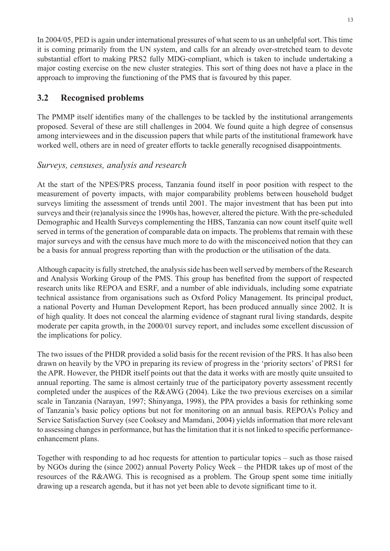In 2004/05, PED is again under international pressures of what seem to us an unhelpful sort. This time it is coming primarily from the UN system, and calls for an already over-stretched team to devote substantial effort to making PRS2 fully MDG-compliant, which is taken to include undertaking a major costing exercise on the new cluster strategies. This sort of thing does not have a place in the approach to improving the functioning of the PMS that is favoured by this paper.

# **3.2 Recognised problems**

The PMMP itself identifies many of the challenges to be tackled by the institutional arrangements proposed. Several of these are still challenges in 2004. We found quite a high degree of consensus among interviewees and in the discussion papers that while parts of the institutional framework have worked well, others are in need of greater efforts to tackle generally recognised disappointments.

### *Surveys, censuses, analysis and research*

At the start of the NPES/PRS process, Tanzania found itself in poor position with respect to the measurement of poverty impacts, with major comparability problems between household budget surveys limiting the assessment of trends until 2001. The major investment that has been put into surveys and their (re)analysis since the 1990s has, however, altered the picture. With the pre-scheduled Demographic and Health Surveys complementing the HBS, Tanzania can now count itself quite well served in terms of the generation of comparable data on impacts. The problems that remain with these major surveys and with the census have much more to do with the misconceived notion that they can be a basis for annual progress reporting than with the production or the utilisation of the data.

Although capacity is fully stretched, the analysis side has been well served by members of the Research and Analysis Working Group of the PMS. This group has benefited from the support of respected research units like REPOA and ESRF, and a number of able individuals, including some expatriate technical assistance from organisations such as Oxford Policy Management. Its principal product, a national Poverty and Human Development Report, has been produced annually since 2002. It is of high quality. It does not conceal the alarming evidence of stagnant rural living standards, despite moderate per capita growth, in the 2000/01 survey report, and includes some excellent discussion of the implications for policy.

The two issues of the PHDR provided a solid basis for the recent revision of the PRS. It has also been drawn on heavily by the VPO in preparing its review of progress in the 'priority sectors' of PRS1 for the APR. However, the PHDR itself points out that the data it works with are mostly quite unsuited to annual reporting. The same is almost certainly true of the participatory poverty assessment recently completed under the auspices of the R&AWG (2004). Like the two previous exercises on a similar scale in Tanzania (Narayan, 1997; Shinyanga, 1998), the PPA provides a basis for rethinking some of Tanzania's basic policy options but not for monitoring on an annual basis. REPOA's Policy and Service Satisfaction Survey (see Cooksey and Mamdani, 2004) yields information that more relevant to assessing changes in performance, but has the limitation that it is not linked to specific performanceenhancement plans.

Together with responding to ad hoc requests for attention to particular topics – such as those raised by NGOs during the (since 2002) annual Poverty Policy Week – the PHDR takes up of most of the resources of the R&AWG. This is recognised as a problem. The Group spent some time initially drawing up a research agenda, but it has not yet been able to devote significant time to it.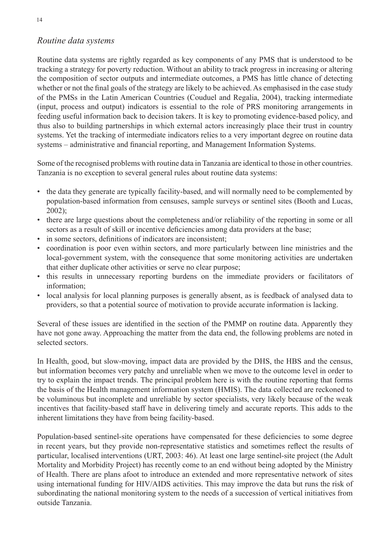### *Routine data systems*

Routine data systems are rightly regarded as key components of any PMS that is understood to be tracking a strategy for poverty reduction. Without an ability to track progress in increasing or altering the composition of sector outputs and intermediate outcomes, a PMS has little chance of detecting whether or not the final goals of the strategy are likely to be achieved. As emphasised in the case study of the PMSs in the Latin American Countries (Couduel and Regalia, 2004), tracking intermediate (input, process and output) indicators is essential to the role of PRS monitoring arrangements in feeding useful information back to decision takers. It is key to promoting evidence-based policy, and thus also to building partnerships in which external actors increasingly place their trust in country systems. Yet the tracking of intermediate indicators relies to a very important degree on routine data systems – administrative and financial reporting, and Management Information Systems.

Some of the recognised problems with routine data in Tanzania are identical to those in other countries. Tanzania is no exception to several general rules about routine data systems:

- the data they generate are typically facility-based, and will normally need to be complemented by population-based information from censuses, sample surveys or sentinel sites (Booth and Lucas, 2002);
- there are large questions about the completeness and/or reliability of the reporting in some or all sectors as a result of skill or incentive deficiencies among data providers at the base;
- in some sectors, definitions of indicators are inconsistent;
- coordination is poor even within sectors, and more particularly between line ministries and the local-government system, with the consequence that some monitoring activities are undertaken that either duplicate other activities or serve no clear purpose;
- this results in unnecessary reporting burdens on the immediate providers or facilitators of information;
- local analysis for local planning purposes is generally absent, as is feedback of analysed data to providers, so that a potential source of motivation to provide accurate information is lacking.

Several of these issues are identified in the section of the PMMP on routine data. Apparently they have not gone away. Approaching the matter from the data end, the following problems are noted in selected sectors.

In Health, good, but slow-moving, impact data are provided by the DHS, the HBS and the census, but information becomes very patchy and unreliable when we move to the outcome level in order to try to explain the impact trends. The principal problem here is with the routine reporting that forms the basis of the Health management information system (HMIS). The data collected are reckoned to be voluminous but incomplete and unreliable by sector specialists, very likely because of the weak incentives that facility-based staff have in delivering timely and accurate reports. This adds to the inherent limitations they have from being facility-based.

Population-based sentinel-site operations have compensated for these deficiencies to some degree in recent years, but they provide non-representative statistics and sometimes reflect the results of particular, localised interventions (URT, 2003: 46). At least one large sentinel-site project (the Adult Mortality and Morbidity Project) has recently come to an end without being adopted by the Ministry of Health. There are plans afoot to introduce an extended and more representative network of sites using international funding for HIV/AIDS activities. This may improve the data but runs the risk of subordinating the national monitoring system to the needs of a succession of vertical initiatives from outside Tanzania.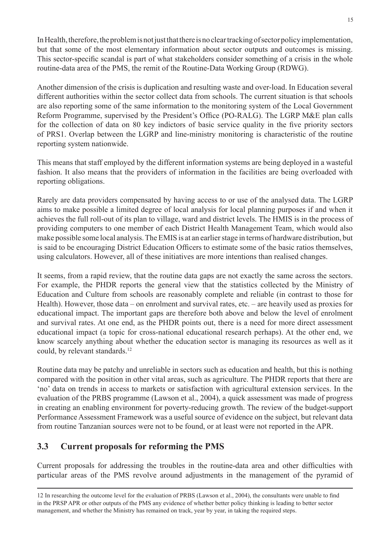In Health, therefore, the problem is not just that there is no clear tracking of sector policy implementation, but that some of the most elementary information about sector outputs and outcomes is missing. This sector-specific scandal is part of what stakeholders consider something of a crisis in the whole routine-data area of the PMS, the remit of the Routine-Data Working Group (RDWG).

Another dimension of the crisis is duplication and resulting waste and over-load. In Education several different authorities within the sector collect data from schools. The current situation is that schools are also reporting some of the same information to the monitoring system of the Local Government Reform Programme, supervised by the President's Office (PO-RALG). The LGRP M&E plan calls for the collection of data on 80 key indictors of basic service quality in the five priority sectors of PRS1. Overlap between the LGRP and line-ministry monitoring is characteristic of the routine reporting system nationwide.

This means that staff employed by the different information systems are being deployed in a wasteful fashion. It also means that the providers of information in the facilities are being overloaded with reporting obligations.

Rarely are data providers compensated by having access to or use of the analysed data. The LGRP aims to make possible a limited degree of local analysis for local planning purposes if and when it achieves the full roll-out of its plan to village, ward and district levels. The HMIS is in the process of providing computers to one member of each District Health Management Team, which would also make possible some local analysis. The EMIS is at an earlier stage in terms of hardware distribution, but is said to be encouraging District Education Officers to estimate some of the basic ratios themselves, using calculators. However, all of these initiatives are more intentions than realised changes.

It seems, from a rapid review, that the routine data gaps are not exactly the same across the sectors. For example, the PHDR reports the general view that the statistics collected by the Ministry of Education and Culture from schools are reasonably complete and reliable (in contrast to those for Health). However, those data – on enrolment and survival rates, etc. – are heavily used as proxies for educational impact. The important gaps are therefore both above and below the level of enrolment and survival rates. At one end, as the PHDR points out, there is a need for more direct assessment educational impact (a topic for cross-national educational research perhaps). At the other end, we know scarcely anything about whether the education sector is managing its resources as well as it could, by relevant standards.<sup>12</sup>

Routine data may be patchy and unreliable in sectors such as education and health, but this is nothing compared with the position in other vital areas, such as agriculture. The PHDR reports that there are 'no' data on trends in access to markets or satisfaction with agricultural extension services. In the evaluation of the PRBS programme (Lawson et al., 2004), a quick assessment was made of progress in creating an enabling environment for poverty-reducing growth. The review of the budget-support Performance Assessment Framework was a useful source of evidence on the subject, but relevant data from routine Tanzanian sources were not to be found, or at least were not reported in the APR.

# **3.3 Current proposals for reforming the PMS**

Current proposals for addressing the troubles in the routine-data area and other difficulties with particular areas of the PMS revolve around adjustments in the management of the pyramid of

<sup>12</sup> In researching the outcome level for the evaluation of PRBS (Lawson et al., 2004), the consultants were unable to find in the PRSP APR or other outputs of the PMS any evidence of whether better policy thinking is leading to better sector management, and whether the Ministry has remained on track, year by year, in taking the required steps.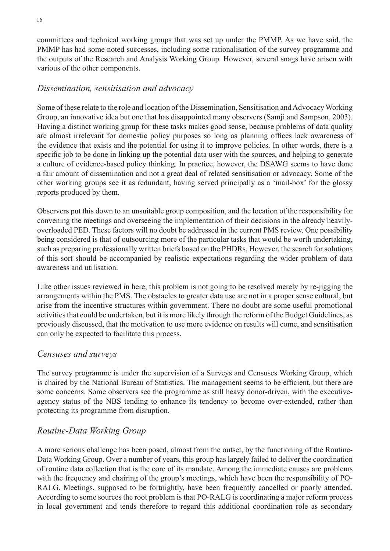committees and technical working groups that was set up under the PMMP. As we have said, the PMMP has had some noted successes, including some rationalisation of the survey programme and the outputs of the Research and Analysis Working Group. However, several snags have arisen with various of the other components.

#### *Dissemination, sensitisation and advocacy*

Some of these relate to the role and location of the Dissemination, Sensitisation and Advocacy Working Group, an innovative idea but one that has disappointed many observers (Samji and Sampson, 2003). Having a distinct working group for these tasks makes good sense, because problems of data quality are almost irrelevant for domestic policy purposes so long as planning offices lack awareness of the evidence that exists and the potential for using it to improve policies. In other words, there is a specific job to be done in linking up the potential data user with the sources, and helping to generate a culture of evidence-based policy thinking. In practice, however, the DSAWG seems to have done a fair amount of dissemination and not a great deal of related sensitisation or advocacy. Some of the other working groups see it as redundant, having served principally as a 'mail-box' for the glossy reports produced by them.

Observers put this down to an unsuitable group composition, and the location of the responsibility for convening the meetings and overseeing the implementation of their decisions in the already heavilyoverloaded PED. These factors will no doubt be addressed in the current PMS review. One possibility being considered is that of outsourcing more of the particular tasks that would be worth undertaking, such as preparing professionally written briefs based on the PHDRs. However, the search for solutions of this sort should be accompanied by realistic expectations regarding the wider problem of data awareness and utilisation.

Like other issues reviewed in here, this problem is not going to be resolved merely by re-jigging the arrangements within the PMS. The obstacles to greater data use are not in a proper sense cultural, but arise from the incentive structures within government. There no doubt are some useful promotional activities that could be undertaken, but it is more likely through the reform of the Budget Guidelines, as previously discussed, that the motivation to use more evidence on results will come, and sensitisation can only be expected to facilitate this process.

### *Censuses and surveys*

The survey programme is under the supervision of a Surveys and Censuses Working Group, which is chaired by the National Bureau of Statistics. The management seems to be efficient, but there are some concerns. Some observers see the programme as still heavy donor-driven, with the executiveagency status of the NBS tending to enhance its tendency to become over-extended, rather than protecting its programme from disruption.

### *Routine-Data Working Group*

A more serious challenge has been posed, almost from the outset, by the functioning of the Routine-Data Working Group. Over a number of years, this group has largely failed to deliver the coordination of routine data collection that is the core of its mandate. Among the immediate causes are problems with the frequency and chairing of the group's meetings, which have been the responsibility of PO-RALG. Meetings, supposed to be fortnightly, have been frequently cancelled or poorly attended. According to some sources the root problem is that PO-RALG is coordinating a major reform process in local government and tends therefore to regard this additional coordination role as secondary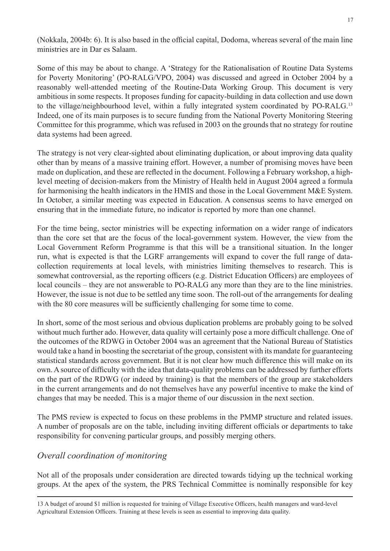(Nokkala, 2004b: 6). It is also based in the official capital, Dodoma, whereas several of the main line ministries are in Dar es Salaam.

Some of this may be about to change. A 'Strategy for the Rationalisation of Routine Data Systems for Poverty Monitoring' (PO-RALG/VPO, 2004) was discussed and agreed in October 2004 by a reasonably well-attended meeting of the Routine-Data Working Group. This document is very ambitious in some respects. It proposes funding for capacity-building in data collection and use down to the village/neighbourhood level, within a fully integrated system coordinated by PO-RALG.13 Indeed, one of its main purposes is to secure funding from the National Poverty Monitoring Steering Committee for this programme, which was refused in 2003 on the grounds that no strategy for routine data systems had been agreed.

The strategy is not very clear-sighted about eliminating duplication, or about improving data quality other than by means of a massive training effort. However, a number of promising moves have been made on duplication, and these are reflected in the document. Following a February workshop, a highlevel meeting of decision-makers from the Ministry of Health held in August 2004 agreed a formula for harmonising the health indicators in the HMIS and those in the Local Government M&E System. In October, a similar meeting was expected in Education. A consensus seems to have emerged on ensuring that in the immediate future, no indicator is reported by more than one channel.

For the time being, sector ministries will be expecting information on a wider range of indicators than the core set that are the focus of the local-government system. However, the view from the Local Government Reform Programme is that this will be a transitional situation. In the longer run, what is expected is that the LGRF arrangements will expand to cover the full range of datacollection requirements at local levels, with ministries limiting themselves to research. This is somewhat controversial, as the reporting officers (e.g. District Education Officers) are employees of local councils – they are not answerable to PO-RALG any more than they are to the line ministries. However, the issue is not due to be settled any time soon. The roll-out of the arrangements for dealing with the 80 core measures will be sufficiently challenging for some time to come.

In short, some of the most serious and obvious duplication problems are probably going to be solved without much further ado. However, data quality will certainly pose a more difficult challenge. One of the outcomes of the RDWG in October 2004 was an agreement that the National Bureau of Statistics would take a hand in boosting the secretariat of the group, consistent with its mandate for guaranteeing statistical standards across government. But it is not clear how much difference this will make on its own. A source of difficulty with the idea that data-quality problems can be addressed by further efforts on the part of the RDWG (or indeed by training) is that the members of the group are stakeholders in the current arrangements and do not themselves have any powerful incentive to make the kind of changes that may be needed. This is a major theme of our discussion in the next section.

The PMS review is expected to focus on these problems in the PMMP structure and related issues. A number of proposals are on the table, including inviting different officials or departments to take responsibility for convening particular groups, and possibly merging others.

### *Overall coordination of monitoring*

Not all of the proposals under consideration are directed towards tidying up the technical working groups. At the apex of the system, the PRS Technical Committee is nominally responsible for key

13 A budget of around \$1 million is requested for training of Village Executive Officers, health managers and ward-level Agricultural Extension Officers. Training at these levels is seen as essential to improving data quality.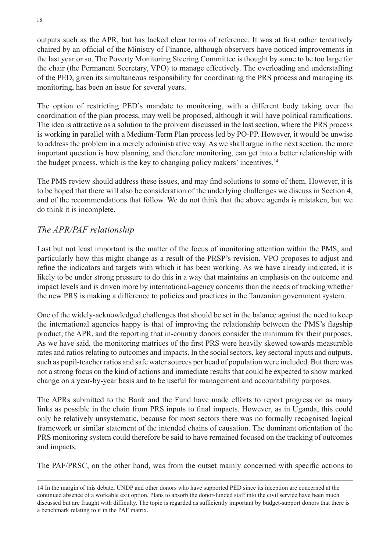outputs such as the APR, but has lacked clear terms of reference. It was at first rather tentatively chaired by an official of the Ministry of Finance, although observers have noticed improvements in the last year or so. The Poverty Monitoring Steering Committee is thought by some to be too large for the chair (the Permanent Secretary, VPO) to manage effectively. The overloading and understaffing of the PED, given its simultaneous responsibility for coordinating the PRS process and managing its monitoring, has been an issue for several years.

The option of restricting PED's mandate to monitoring, with a different body taking over the coordination of the plan process, may well be proposed, although it will have political ramifications. The idea is attractive as a solution to the problem discussed in the last section, where the PRS process is working in parallel with a Medium-Term Plan process led by PO-PP. However, it would be unwise to address the problem in a merely administrative way. As we shall argue in the next section, the more important question is how planning, and therefore monitoring, can get into a better relationship with the budget process, which is the key to changing policy makers' incentives.14

The PMS review should address these issues, and may find solutions to some of them. However, it is to be hoped that there will also be consideration of the underlying challenges we discuss in Section 4, and of the recommendations that follow. We do not think that the above agenda is mistaken, but we do think it is incomplete.

### *The APR/PAF relationship*

Last but not least important is the matter of the focus of monitoring attention within the PMS, and particularly how this might change as a result of the PRSP's revision. VPO proposes to adjust and refine the indicators and targets with which it has been working. As we have already indicated, it is likely to be under strong pressure to do this in a way that maintains an emphasis on the outcome and impact levels and is driven more by international-agency concerns than the needs of tracking whether the new PRS is making a difference to policies and practices in the Tanzanian government system.

One of the widely-acknowledged challenges that should be set in the balance against the need to keep the international agencies happy is that of improving the relationship between the PMS's flagship product, the APR, and the reporting that in-country donors consider the minimum for their purposes. As we have said, the monitoring matrices of the first PRS were heavily skewed towards measurable rates and ratios relating to outcomes and impacts. In the social sectors, key sectoral inputs and outputs, such as pupil-teacher ratios and safe water sources per head of population were included. But there was not a strong focus on the kind of actions and immediate results that could be expected to show marked change on a year-by-year basis and to be useful for management and accountability purposes.

The APRs submitted to the Bank and the Fund have made efforts to report progress on as many links as possible in the chain from PRS inputs to final impacts. However, as in Uganda, this could only be relatively unsystematic, because for most sectors there was no formally recognised logical framework or similar statement of the intended chains of causation. The dominant orientation of the PRS monitoring system could therefore be said to have remained focused on the tracking of outcomes and impacts.

The PAF/PRSC, on the other hand, was from the outset mainly concerned with specific actions to

<sup>14</sup> In the margin of this debate, UNDP and other donors who have supported PED since its inception are concerned at the continued absence of a workable exit option. Plans to absorb the donor-funded staff into the civil service have been much discussed but are fraught with difficulty. The topic is regarded as sufficiently important by budget-support donors that there is a benchmark relating to it in the PAF matrix.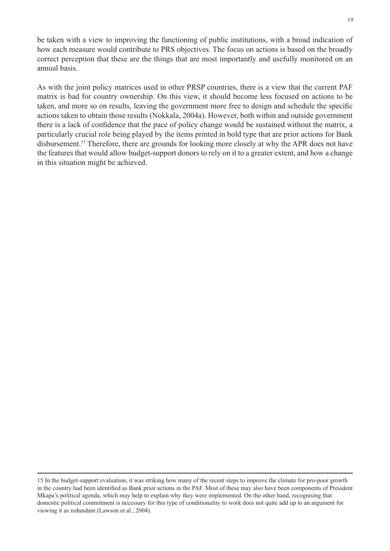be taken with a view to improving the functioning of public institutions, with a broad indication of how each measure would contribute to PRS objectives. The focus on actions is based on the broadly correct perception that these are the things that are most importantly and usefully monitored on an annual basis.

As with the joint policy matrices used in other PRSP countries, there is a view that the current PAF matrix is bad for country ownership. On this view, it should become less focused on actions to be taken, and more so on results, leaving the government more free to design and schedule the specific actions taken to obtain those results (Nokkala, 2004a). However, both within and outside government there is a lack of confidence that the pace of policy change would be sustained without the matrix, a particularly crucial role being played by the items printed in bold type that are prior actions for Bank disbursement.<sup>15</sup> Therefore, there are grounds for looking more closely at why the APR does not have the features that would allow budget-support donors to rely on it to a greater extent, and how a change in this situation might be achieved.

<sup>15</sup> In the budget-support evaluation, it was striking how many of the recent steps to improve the climate for pro-poor growth in the country had been identified as Bank prior actions in the PAF. Most of these may also have been components of President Mkapa's political agenda, which may help to explain why they were implemented. On the other hand, recognising that domestic political commitment is necessary for this type of conditionality to work does not quite add up to an argument for viewing it as redundant (Lawson et al., 2004).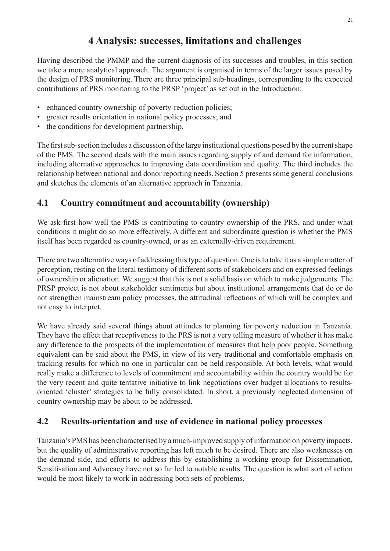# **4 Analysis: successes, limitations and challenges**

Having described the PMMP and the current diagnosis of its successes and troubles, in this section we take a more analytical approach. The argument is organised in terms of the larger issues posed by the design of PRS monitoring. There are three principal sub-headings, corresponding to the expected contributions of PRS monitoring to the PRSP 'project' as set out in the Introduction:

- enhanced country ownership of poverty-reduction policies;
- greater results orientation in national policy processes; and •
- the conditions for development partnership.

The first sub-section includes a discussion of the large institutional questions posed by the current shape of the PMS. The second deals with the main issues regarding supply of and demand for information, including alternative approaches to improving data coordination and quality. The third includes the relationship between national and donor reporting needs. Section 5 presents some general conclusions and sketches the elements of an alternative approach in Tanzania.

### **4.1 Country commitment and accountability (ownership)**

We ask first how well the PMS is contributing to country ownership of the PRS, and under what conditions it might do so more effectively. A different and subordinate question is whether the PMS itself has been regarded as country-owned, or as an externally-driven requirement.

There are two alternative ways of addressing this type of question. One is to take it as a simple matter of perception, resting on the literal testimony of different sorts of stakeholders and on expressed feelings of ownership or alienation. We suggest that this is not a solid basis on which to make judgements. The PRSP project is not about stakeholder sentiments but about institutional arrangements that do or do not strengthen mainstream policy processes, the attitudinal reflections of which will be complex and not easy to interpret.

We have already said several things about attitudes to planning for poverty reduction in Tanzania. They have the effect that receptiveness to the PRS is not a very telling measure of whether it has make any difference to the prospects of the implementation of measures that help poor people. Something equivalent can be said about the PMS, in view of its very traditional and comfortable emphasis on tracking results for which no one in particular can be held responsible. At both levels, what would really make a difference to levels of commitment and accountability within the country would be for the very recent and quite tentative initiative to link negotiations over budget allocations to resultsoriented 'cluster' strategies to be fully consolidated. In short, a previously neglected dimension of country ownership may be about to be addressed.

### **4.2 Results-orientation and use of evidence in national policy processes**

Tanzania's PMS has been characterised by a much-improved supply of information on poverty impacts, but the quality of administrative reporting has left much to be desired. There are also weaknesses on the demand side, and efforts to address this by establishing a working group for Dissemination, Sensitisation and Advocacy have not so far led to notable results. The question is what sort of action would be most likely to work in addressing both sets of problems.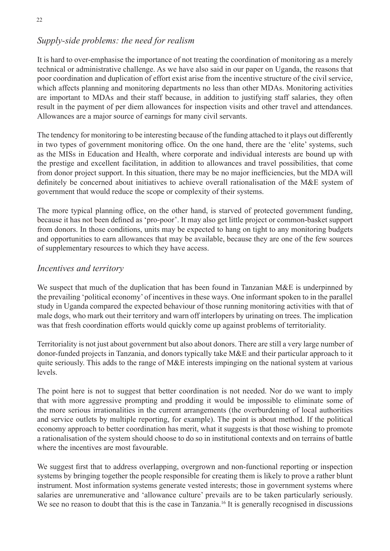## *Supply-side problems: the need for realism*

It is hard to over-emphasise the importance of not treating the coordination of monitoring as a merely technical or administrative challenge. As we have also said in our paper on Uganda, the reasons that poor coordination and duplication of effort exist arise from the incentive structure of the civil service, which affects planning and monitoring departments no less than other MDAs. Monitoring activities are important to MDAs and their staff because, in addition to justifying staff salaries, they often result in the payment of per diem allowances for inspection visits and other travel and attendances. Allowances are a major source of earnings for many civil servants.

The tendency for monitoring to be interesting because of the funding attached to it plays out differently in two types of government monitoring office. On the one hand, there are the 'elite' systems, such as the MISs in Education and Health, where corporate and individual interests are bound up with the prestige and excellent facilitation, in addition to allowances and travel possibilities, that come from donor project support. In this situation, there may be no major inefficiencies, but the MDA will definitely be concerned about initiatives to achieve overall rationalisation of the M&E system of government that would reduce the scope or complexity of their systems.

The more typical planning office, on the other hand, is starved of protected government funding, because it has not been defined as 'pro-poor'. It may also get little project or common-basket support from donors. In those conditions, units may be expected to hang on tight to any monitoring budgets and opportunities to earn allowances that may be available, because they are one of the few sources of supplementary resources to which they have access.

### *Incentives and territory*

We suspect that much of the duplication that has been found in Tanzanian M&E is underpinned by the prevailing 'political economy' of incentives in these ways. One informant spoken to in the parallel study in Uganda compared the expected behaviour of those running monitoring activities with that of male dogs, who mark out their territory and warn off interlopers by urinating on trees. The implication was that fresh coordination efforts would quickly come up against problems of territoriality.

Territoriality is not just about government but also about donors. There are still a very large number of donor-funded projects in Tanzania, and donors typically take M&E and their particular approach to it quite seriously. This adds to the range of M&E interests impinging on the national system at various levels.

The point here is not to suggest that better coordination is not needed. Nor do we want to imply that with more aggressive prompting and prodding it would be impossible to eliminate some of the more serious irrationalities in the current arrangements (the overburdening of local authorities and service outlets by multiple reporting, for example). The point is about method. If the political economy approach to better coordination has merit, what it suggests is that those wishing to promote a rationalisation of the system should choose to do so in institutional contexts and on terrains of battle where the incentives are most favourable.

We suggest first that to address overlapping, overgrown and non-functional reporting or inspection systems by bringing together the people responsible for creating them is likely to prove a rather blunt instrument. Most information systems generate vested interests; those in government systems where salaries are unremunerative and 'allowance culture' prevails are to be taken particularly seriously. We see no reason to doubt that this is the case in Tanzania.<sup>16</sup> It is generally recognised in discussions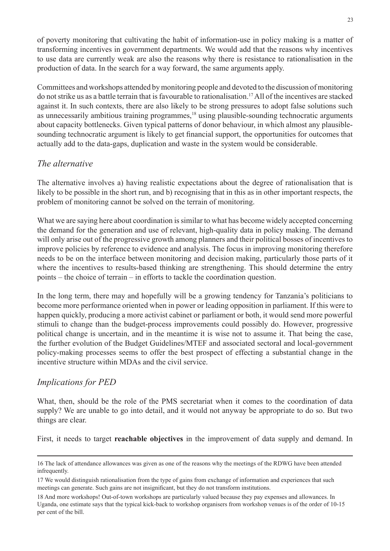of poverty monitoring that cultivating the habit of information-use in policy making is a matter of transforming incentives in government departments. We would add that the reasons why incentives to use data are currently weak are also the reasons why there is resistance to rationalisation in the production of data. In the search for a way forward, the same arguments apply.

Committees and workshops attended by monitoring people and devoted to the discussion of monitoring do not strike us as a battle terrain that is favourable to rationalisation.17 All of the incentives are stacked against it. In such contexts, there are also likely to be strong pressures to adopt false solutions such as unnecessarily ambitious training programmes,<sup>18</sup> using plausible-sounding technocratic arguments about capacity bottlenecks. Given typical patterns of donor behaviour, in which almost any plausiblesounding technocratic argument is likely to get financial support, the opportunities for outcomes that actually add to the data-gaps, duplication and waste in the system would be considerable.

### *The alternative*

The alternative involves a) having realistic expectations about the degree of rationalisation that is likely to be possible in the short run, and b) recognising that in this as in other important respects, the problem of monitoring cannot be solved on the terrain of monitoring.

What we are saying here about coordination is similar to what has become widely accepted concerning the demand for the generation and use of relevant, high-quality data in policy making. The demand will only arise out of the progressive growth among planners and their political bosses of incentives to improve policies by reference to evidence and analysis. The focus in improving monitoring therefore needs to be on the interface between monitoring and decision making, particularly those parts of it where the incentives to results-based thinking are strengthening. This should determine the entry points – the choice of terrain – in efforts to tackle the coordination question.

In the long term, there may and hopefully will be a growing tendency for Tanzania's politicians to become more performance oriented when in power or leading opposition in parliament. If this were to happen quickly, producing a more activist cabinet or parliament or both, it would send more powerful stimuli to change than the budget-process improvements could possibly do. However, progressive political change is uncertain, and in the meantime it is wise not to assume it. That being the case, the further evolution of the Budget Guidelines/MTEF and associated sectoral and local-government policy-making processes seems to offer the best prospect of effecting a substantial change in the incentive structure within MDAs and the civil service.

### *Implications for PED*

What, then, should be the role of the PMS secretariat when it comes to the coordination of data supply? We are unable to go into detail, and it would not anyway be appropriate to do so. But two things are clear.

First, it needs to target **reachable objectives** in the improvement of data supply and demand. In

<sup>16</sup> The lack of attendance allowances was given as one of the reasons why the meetings of the RDWG have been attended infrequently.

<sup>17</sup> We would distinguish rationalisation from the type of gains from exchange of information and experiences that such meetings can generate. Such gains are not insignificant, but they do not transform institutions.

<sup>18</sup> And more workshops! Out-of-town workshops are particularly valued because they pay expenses and allowances. In Uganda, one estimate says that the typical kick-back to workshop organisers from workshop venues is of the order of 10-15 per cent of the bill.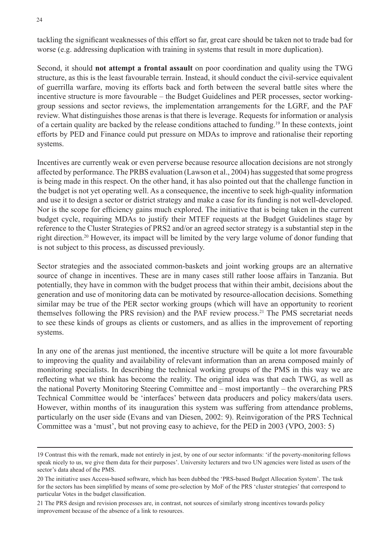tackling the significant weaknesses of this effort so far, great care should be taken not to trade bad for worse (e.g. addressing duplication with training in systems that result in more duplication).

Second, it should **not attempt a frontal assault** on poor coordination and quality using the TWG structure, as this is the least favourable terrain. Instead, it should conduct the civil-service equivalent of guerrilla warfare, moving its efforts back and forth between the several battle sites where the incentive structure is more favourable – the Budget Guidelines and PER processes, sector workinggroup sessions and sector reviews, the implementation arrangements for the LGRF, and the PAF review. What distinguishes those arenas is that there is leverage. Requests for information or analysis of a certain quality are backed by the release conditions attached to funding.19 In these contexts, joint efforts by PED and Finance could put pressure on MDAs to improve and rationalise their reporting systems.

Incentives are currently weak or even perverse because resource allocation decisions are not strongly affected by performance. The PRBS evaluation (Lawson et al., 2004) has suggested that some progress is being made in this respect. On the other hand, it has also pointed out that the challenge function in the budget is not yet operating well. As a consequence, the incentive to seek high-quality information and use it to design a sector or district strategy and make a case for its funding is not well-developed. Nor is the scope for efficiency gains much explored. The initiative that is being taken in the current budget cycle, requiring MDAs to justify their MTEF requests at the Budget Guidelines stage by reference to the Cluster Strategies of PRS2 and/or an agreed sector strategy is a substantial step in the right direction.20 However, its impact will be limited by the very large volume of donor funding that is not subject to this process, as discussed previously.

Sector strategies and the associated common-baskets and joint working groups are an alternative source of change in incentives. These are in many cases still rather loose affairs in Tanzania. But potentially, they have in common with the budget process that within their ambit, decisions about the generation and use of monitoring data can be motivated by resource-allocation decisions. Something similar may be true of the PER sector working groups (which will have an opportunity to reorient themselves following the PRS revision) and the PAF review process.<sup>21</sup> The PMS secretariat needs to see these kinds of groups as clients or customers, and as allies in the improvement of reporting systems.

In any one of the arenas just mentioned, the incentive structure will be quite a lot more favourable to improving the quality and availability of relevant information than an arena composed mainly of monitoring specialists. In describing the technical working groups of the PMS in this way we are reflecting what we think has become the reality. The original idea was that each TWG, as well as the national Poverty Monitoring Steering Committee and – most importantly – the overarching PRS Technical Committee would be 'interfaces' between data producers and policy makers/data users. However, within months of its inauguration this system was suffering from attendance problems, particularly on the user side (Evans and van Diesen, 2002: 9). Reinvigoration of the PRS Technical Committee was a 'must', but not proving easy to achieve, for the PED in 2003 (VPO, 2003: 5)

<sup>19</sup> Contrast this with the remark, made not entirely in jest, by one of our sector informants: 'if the poverty-monitoring fellows speak nicely to us, we give them data for their purposes'. University lecturers and two UN agencies were listed as users of the sector's data ahead of the PMS.

<sup>20</sup> The initiative uses Access-based software, which has been dubbed the 'PRS-based Budget Allocation System'. The task for the sectors has been simplified by means of some pre-selection by MoF of the PRS 'cluster strategies' that correspond to particular Votes in the budget classification.

<sup>21</sup> The PRS design and revision processes are, in contrast, not sources of similarly strong incentives towards policy improvement because of the absence of a link to resources.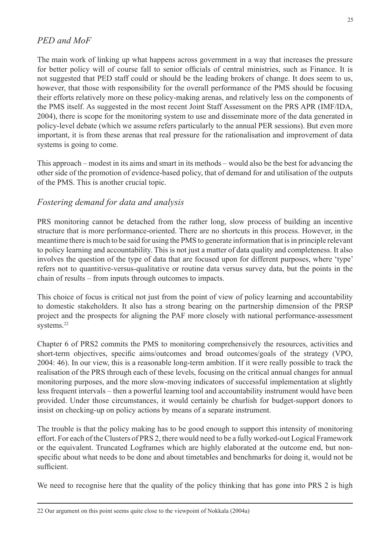### *PED and MoF*

The main work of linking up what happens across government in a way that increases the pressure for better policy will of course fall to senior officials of central ministries, such as Finance. It is not suggested that PED staff could or should be the leading brokers of change. It does seem to us, however, that those with responsibility for the overall performance of the PMS should be focusing their efforts relatively more on these policy-making arenas, and relatively less on the components of the PMS itself. As suggested in the most recent Joint Staff Assessment on the PRS APR (IMF/IDA, 2004), there is scope for the monitoring system to use and disseminate more of the data generated in policy-level debate (which we assume refers particularly to the annual PER sessions). But even more important, it is from these arenas that real pressure for the rationalisation and improvement of data systems is going to come.

This approach – modest in its aims and smart in its methods – would also be the best for advancing the other side of the promotion of evidence-based policy, that of demand for and utilisation of the outputs of the PMS. This is another crucial topic.

### *Fostering demand for data and analysis*

PRS monitoring cannot be detached from the rather long, slow process of building an incentive structure that is more performance-oriented. There are no shortcuts in this process. However, in the meantime there is much to be said for using the PMS to generate information that is in principle relevant to policy learning and accountability. This is not just a matter of data quality and completeness. It also involves the question of the type of data that are focused upon for different purposes, where 'type' refers not to quantitive-versus-qualitative or routine data versus survey data, but the points in the chain of results – from inputs through outcomes to impacts.

This choice of focus is critical not just from the point of view of policy learning and accountability to domestic stakeholders. It also has a strong bearing on the partnership dimension of the PRSP project and the prospects for aligning the PAF more closely with national performance-assessment systems.<sup>22</sup>

Chapter 6 of PRS2 commits the PMS to monitoring comprehensively the resources, activities and short-term objectives, specific aims/outcomes and broad outcomes/goals of the strategy (VPO, 2004: 46). In our view, this is a reasonable long-term ambition. If it were really possible to track the realisation of the PRS through each of these levels, focusing on the critical annual changes for annual monitoring purposes, and the more slow-moving indicators of successful implementation at slightly less frequent intervals – then a powerful learning tool and accountability instrument would have been provided. Under those circumstances, it would certainly be churlish for budget-support donors to insist on checking-up on policy actions by means of a separate instrument.

The trouble is that the policy making has to be good enough to support this intensity of monitoring effort. For each of the Clusters of PRS 2, there would need to be a fully worked-out Logical Framework or the equivalent. Truncated Logframes which are highly elaborated at the outcome end, but nonspecific about what needs to be done and about timetables and benchmarks for doing it, would not be sufficient.

We need to recognise here that the quality of the policy thinking that has gone into PRS 2 is high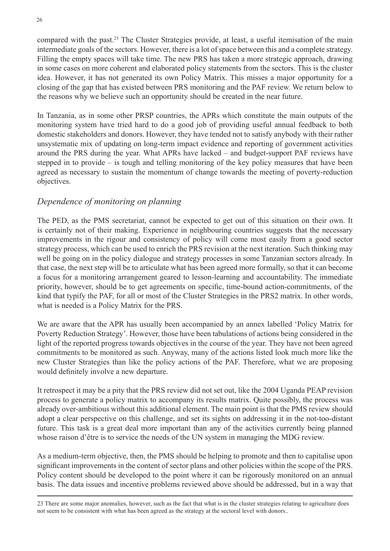compared with the past.23 The Cluster Strategies provide, at least, a useful itemisation of the main intermediate goals of the sectors. However, there is a lot of space between this and a complete strategy. Filling the empty spaces will take time. The new PRS has taken a more strategic approach, drawing in some cases on more coherent and elaborated policy statements from the sectors. This is the cluster idea. However, it has not generated its own Policy Matrix. This misses a major opportunity for a closing of the gap that has existed between PRS monitoring and the PAF review. We return below to the reasons why we believe such an opportunity should be created in the near future.

In Tanzania, as in some other PRSP countries, the APRs which constitute the main outputs of the monitoring system have tried hard to do a good job of providing useful annual feedback to both domestic stakeholders and donors. However, they have tended not to satisfy anybody with their rather unsystematic mix of updating on long-term impact evidence and reporting of government activities around the PRS during the year. What APRs have lacked – and budget-support PAF reviews have stepped in to provide – is tough and telling monitoring of the key policy measures that have been agreed as necessary to sustain the momentum of change towards the meeting of poverty-reduction objectives.

### *Dependence of monitoring on planning*

The PED, as the PMS secretariat, cannot be expected to get out of this situation on their own. It is certainly not of their making. Experience in neighbouring countries suggests that the necessary improvements in the rigour and consistency of policy will come most easily from a good sector strategy process, which can be used to enrich the PRS revision at the next iteration. Such thinking may well be going on in the policy dialogue and strategy processes in some Tanzanian sectors already. In that case, the next step will be to articulate what has been agreed more formally, so that it can become a focus for a monitoring arrangement geared to lesson-learning and accountability. The immediate priority, however, should be to get agreements on specific, time-bound action-commitments, of the kind that typify the PAF, for all or most of the Cluster Strategies in the PRS2 matrix. In other words, what is needed is a Policy Matrix for the PRS.

We are aware that the APR has usually been accompanied by an annex labelled 'Policy Matrix for Poverty Reduction Strategy'. However, those have been tabulations of actions being considered in the light of the reported progress towards objectives in the course of the year. They have not been agreed commitments to be monitored as such. Anyway, many of the actions listed look much more like the new Cluster Strategies than like the policy actions of the PAF. Therefore, what we are proposing would definitely involve a new departure.

It retrospect it may be a pity that the PRS review did not set out, like the 2004 Uganda PEAP revision process to generate a policy matrix to accompany its results matrix. Quite possibly, the process was already over-ambitious without this additional element. The main point is that the PMS review should adopt a clear perspective on this challenge, and set its sights on addressing it in the not-too-distant future. This task is a great deal more important than any of the activities currently being planned whose raison d'être is to service the needs of the UN system in managing the MDG review.

As a medium-term objective, then, the PMS should be helping to promote and then to capitalise upon significant improvements in the content of sector plans and other policies within the scope of the PRS. Policy content should be developed to the point where it can be rigorously monitored on an annual basis. The data issues and incentive problems reviewed above should be addressed, but in a way that

23 There are some major anomalies, however, such as the fact that what is in the cluster strategies relating to agriculture does not seem to be consistent with what has been agreed as the strategy at the sectoral level with donors..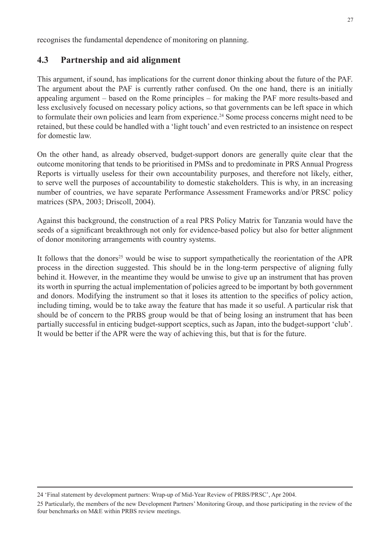recognises the fundamental dependence of monitoring on planning.

### **4.3 Partnership and aid alignment**

This argument, if sound, has implications for the current donor thinking about the future of the PAF. The argument about the PAF is currently rather confused. On the one hand, there is an initially appealing argument – based on the Rome principles – for making the PAF more results-based and less exclusively focused on necessary policy actions, so that governments can be left space in which to formulate their own policies and learn from experience.<sup>24</sup> Some process concerns might need to be retained, but these could be handled with a 'light touch' and even restricted to an insistence on respect for domestic law.

On the other hand, as already observed, budget-support donors are generally quite clear that the outcome monitoring that tends to be prioritised in PMSs and to predominate in PRS Annual Progress Reports is virtually useless for their own accountability purposes, and therefore not likely, either, to serve well the purposes of accountability to domestic stakeholders. This is why, in an increasing number of countries, we have separate Performance Assessment Frameworks and/or PRSC policy matrices (SPA, 2003; Driscoll, 2004).

Against this background, the construction of a real PRS Policy Matrix for Tanzania would have the seeds of a significant breakthrough not only for evidence-based policy but also for better alignment of donor monitoring arrangements with country systems.

It follows that the donors<sup>25</sup> would be wise to support sympathetically the reorientation of the APR process in the direction suggested. This should be in the long-term perspective of aligning fully behind it. However, in the meantime they would be unwise to give up an instrument that has proven its worth in spurring the actual implementation of policies agreed to be important by both government and donors. Modifying the instrument so that it loses its attention to the specifics of policy action, including timing, would be to take away the feature that has made it so useful. A particular risk that should be of concern to the PRBS group would be that of being losing an instrument that has been partially successful in enticing budget-support sceptics, such as Japan, into the budget-support 'club'. It would be better if the APR were the way of achieving this, but that is for the future.

<sup>24 &#</sup>x27;Final statement by development partners: Wrap-up of Mid-Year Review of PRBS/PRSC', Apr 2004.

<sup>25</sup> Particularly, the members of the new Development Partners' Monitoring Group, and those participating in the review of the four benchmarks on M&E within PRBS review meetings.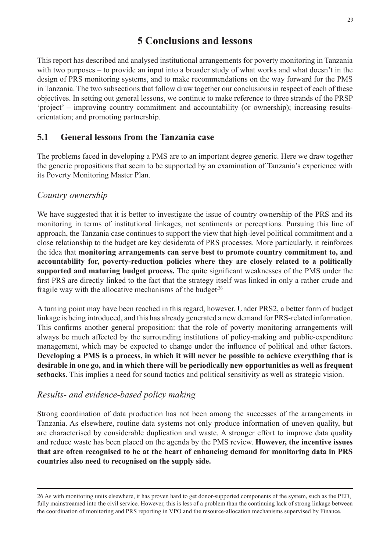# **5 Conclusions and lessons**

This report has described and analysed institutional arrangements for poverty monitoring in Tanzania with two purposes – to provide an input into a broader study of what works and what doesn't in the design of PRS monitoring systems, and to make recommendations on the way forward for the PMS in Tanzania. The two subsections that follow draw together our conclusions in respect of each of these objectives. In setting out general lessons, we continue to make reference to three strands of the PRSP 'project' – improving country commitment and accountability (or ownership); increasing resultsorientation; and promoting partnership.

## **5.1 General lessons from the Tanzania case**

The problems faced in developing a PMS are to an important degree generic. Here we draw together the generic propositions that seem to be supported by an examination of Tanzania's experience with its Poverty Monitoring Master Plan.

### *Country ownership*

We have suggested that it is better to investigate the issue of country ownership of the PRS and its monitoring in terms of institutional linkages, not sentiments or perceptions. Pursuing this line of approach, the Tanzania case continues to support the view that high-level political commitment and a close relationship to the budget are key desiderata of PRS processes. More particularly, it reinforces the idea that **monitoring arrangements can serve best to promote country commitment to, and accountability for, poverty-reduction policies where they are closely related to a politically supported and maturing budget process.** The quite significant weaknesses of the PMS under the first PRS are directly linked to the fact that the strategy itself was linked in only a rather crude and fragile way with the allocative mechanisms of the budget<sup> $26$ </sup>

A turning point may have been reached in this regard, however. Under PRS2, a better form of budget linkage is being introduced, and this has already generated a new demand for PRS-related information. This confirms another general proposition: that the role of poverty monitoring arrangements will always be much affected by the surrounding institutions of policy-making and public-expenditure management, which may be expected to change under the influence of political and other factors. **Developing a PMS is a process, in which it will never be possible to achieve everything that is desirable in one go, and in which there will be periodically new opportunities as well as frequent setbacks**. This implies a need for sound tactics and political sensitivity as well as strategic vision.

### *Results- and evidence-based policy making*

Strong coordination of data production has not been among the successes of the arrangements in Tanzania. As elsewhere, routine data systems not only produce information of uneven quality, but are characterised by considerable duplication and waste. A stronger effort to improve data quality and reduce waste has been placed on the agenda by the PMS review. **However, the incentive issues that are often recognised to be at the heart of enhancing demand for monitoring data in PRS countries also need to recognised on the supply side.**

<sup>26</sup> As with monitoring units elsewhere, it has proven hard to get donor-supported components of the system, such as the PED, fully mainstreamed into the civil service. However, this is less of a problem than the continuing lack of strong linkage between the coordination of monitoring and PRS reporting in VPO and the resource-allocation mechanisms supervised by Finance.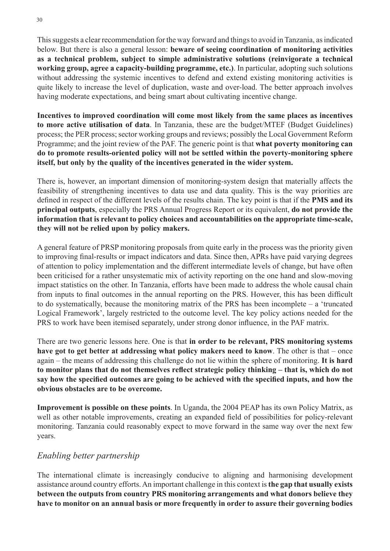This suggests a clear recommendation for the way forward and things to avoid in Tanzania, as indicated below. But there is also a general lesson: **beware of seeing coordination of monitoring activities as a technical problem, subject to simple administrative solutions (reinvigorate a technical working group, agree a capacity-building programme, etc.)**. In particular, adopting such solutions without addressing the systemic incentives to defend and extend existing monitoring activities is quite likely to increase the level of duplication, waste and over-load. The better approach involves having moderate expectations, and being smart about cultivating incentive change.

**Incentives to improved coordination will come most likely from the same places as incentives to more active utilisation of data**. In Tanzania, these are the budget/MTEF (Budget Guidelines) process; the PER process; sector working groups and reviews; possibly the Local Government Reform Programme; and the joint review of the PAF. The generic point is that **what poverty monitoring can do to promote results-oriented policy will not be settled within the poverty-monitoring sphere itself, but only by the quality of the incentives generated in the wider system.**

There is, however, an important dimension of monitoring-system design that materially affects the feasibility of strengthening incentives to data use and data quality. This is the way priorities are defined in respect of the different levels of the results chain. The key point is that if the **PMS and its principal outputs**, especially the PRS Annual Progress Report or its equivalent, **do not provide the information that is relevant to policy choices and accountabilities on the appropriate time-scale, they will not be relied upon by policy makers.**

A general feature of PRSP monitoring proposals from quite early in the process was the priority given to improving final-results or impact indicators and data. Since then, APRs have paid varying degrees of attention to policy implementation and the different intermediate levels of change, but have often been criticised for a rather unsystematic mix of activity reporting on the one hand and slow-moving impact statistics on the other. In Tanzania, efforts have been made to address the whole causal chain from inputs to final outcomes in the annual reporting on the PRS. However, this has been difficult to do systematically, because the monitoring matrix of the PRS has been incomplete – a 'truncated Logical Framework', largely restricted to the outcome level. The key policy actions needed for the PRS to work have been itemised separately, under strong donor influence, in the PAF matrix.

There are two generic lessons here. One is that **in order to be relevant, PRS monitoring systems have got to get better at addressing what policy makers need to know**. The other is that – once again – the means of addressing this challenge do not lie within the sphere of monitoring. **It is hard to monitor plans that do not themselves reflect strategic policy thinking – that is, which do not say how the specified outcomes are going to be achieved with the specified inputs, and how the obvious obstacles are to be overcome.**

**Improvement is possible on these points**. In Uganda, the 2004 PEAP has its own Policy Matrix, as well as other notable improvements, creating an expanded field of possibilities for policy-relevant monitoring. Tanzania could reasonably expect to move forward in the same way over the next few years.

### *Enabling better partnership*

The international climate is increasingly conducive to aligning and harmonising development assistance around country efforts. An important challenge in this context is **the gap that usually exists between the outputs from country PRS monitoring arrangements and what donors believe they have to monitor on an annual basis or more frequently in order to assure their governing bodies**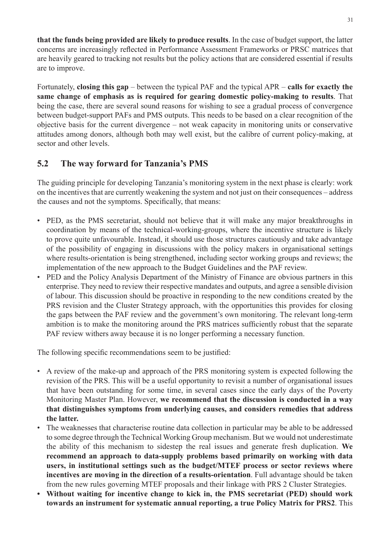**that the funds being provided are likely to produce results**. In the case of budget support, the latter concerns are increasingly reflected in Performance Assessment Frameworks or PRSC matrices that are heavily geared to tracking not results but the policy actions that are considered essential if results are to improve.

Fortunately, **closing this gap** – between the typical PAF and the typical APR – **calls for exactly the same change of emphasis as is required for gearing domestic policy-making to results**. That being the case, there are several sound reasons for wishing to see a gradual process of convergence between budget-support PAFs and PMS outputs. This needs to be based on a clear recognition of the objective basis for the current divergence – not weak capacity in monitoring units or conservative attitudes among donors, although both may well exist, but the calibre of current policy-making, at sector and other levels.

# **5.2 The way forward for Tanzania's PMS**

The guiding principle for developing Tanzania's monitoring system in the next phase is clearly: work on the incentives that are currently weakening the system and not just on their consequences – address the causes and not the symptoms. Specifically, that means:

- PED, as the PMS secretariat, should not believe that it will make any major breakthroughs in coordination by means of the technical-working-groups, where the incentive structure is likely to prove quite unfavourable. Instead, it should use those structures cautiously and take advantage of the possibility of engaging in discussions with the policy makers in organisational settings where results-orientation is being strengthened, including sector working groups and reviews; the implementation of the new approach to the Budget Guidelines and the PAF review.
- PED and the Policy Analysis Department of the Ministry of Finance are obvious partners in this enterprise. They need to review their respective mandates and outputs, and agree a sensible division of labour. This discussion should be proactive in responding to the new conditions created by the PRS revision and the Cluster Strategy approach, with the opportunities this provides for closing the gaps between the PAF review and the government's own monitoring. The relevant long-term ambition is to make the monitoring around the PRS matrices sufficiently robust that the separate PAF review withers away because it is no longer performing a necessary function. •

The following specific recommendations seem to be justified:

- A review of the make-up and approach of the PRS monitoring system is expected following the revision of the PRS. This will be a useful opportunity to revisit a number of organisational issues that have been outstanding for some time, in several cases since the early days of the Poverty Monitoring Master Plan. However, **we recommend that the discussion is conducted in a way that distinguishes symptoms from underlying causes, and considers remedies that address the latter.**
- The weaknesses that characterise routine data collection in particular may be able to be addressed to some degree through the Technical Working Group mechanism. But we would not underestimate the ability of this mechanism to sidestep the real issues and generate fresh duplication. **We recommend an approach to data-supply problems based primarily on working with data users, in institutional settings such as the budget/MTEF process or sector reviews where incentives are moving in the direction of a results-orientation**. Full advantage should be taken from the new rules governing MTEF proposals and their linkage with PRS 2 Cluster Strategies. •
- **Without waiting for incentive change to kick in, the PMS secretariat (PED) should work towards an instrument for systematic annual reporting, a true Policy Matrix for PRS2**. This **•**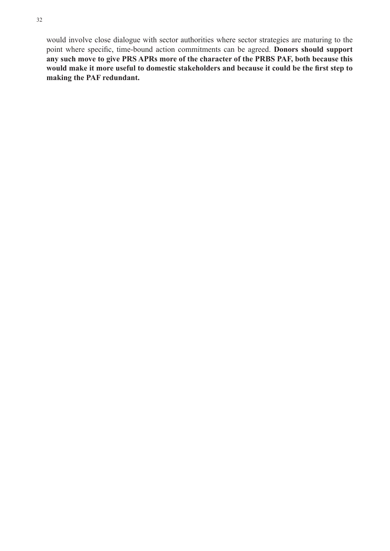would involve close dialogue with sector authorities where sector strategies are maturing to the point where specific, time-bound action commitments can be agreed. **Donors should support any such move to give PRS APRs more of the character of the PRBS PAF, both because this would make it more useful to domestic stakeholders and because it could be the first step to making the PAF redundant.**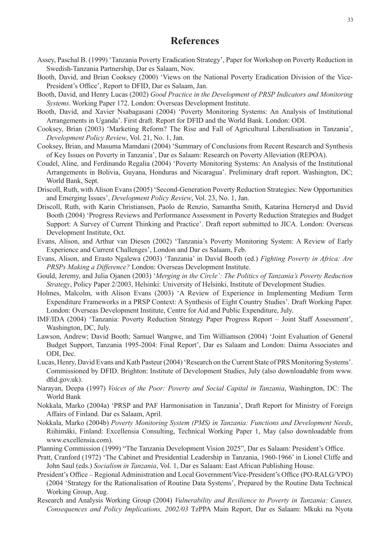### **References**

- Assey, Paschal B. (1999) 'Tanzania Poverty Eradication Strategy', Paper for Workshop on Poverty Reduction in Swedish-Tanzania Partnership, Dar es Salaam, Nov.
- Booth, David, and Brian Cooksey (2000) 'Views on the National Poverty Eradication Division of the Vice-President's Office', Report to DFID, Dar es Salaam, Jan.
- Booth, David, and Henry Lucas (2002) *Good Practice in the Development of PRSP Indicators and Monitoring Systems*. Working Paper 172. London: Overseas Development Institute.
- Booth, David, and Xavier Nsabagasani (2004) 'Poverty Monitoring Systems: An Analysis of Institutional Arrangements in Uganda'. First draft. Report for DFID and the World Bank. London: ODI.
- Cooksey, Brian (2003) 'Marketing Reform? The Rise and Fall of Agricultural Liberalisation in Tanzania', *Development Policy Review*, Vol. 21, No. 1, Jan.
- Cooksey, Brian, and Masuma Mamdani (2004) 'Summary of Conclusions from Recent Research and Synthesis of Key Issues on Poverty in Tanzania', Dar es Salaam: Research on Poverty Alleviation (REPOA).
- Coudel, Aline, and Ferdinando Regalia (2004) 'Poverty Monitoring Systems: An Analysis of the Institutional Arrangements in Bolivia, Guyana, Honduras and Nicaragua'. Preliminary draft report. Washington, DC; World Bank, Sept.
- Driscoll, Ruth, with Alison Evans (2005) 'Second-Generation Poverty Reduction Strategies: New Opportunities and Emerging Issues', *Development Policy Review*, Vol. 23, No. 1, Jan.
- Driscoll, Ruth, with Karin Christiansen, Paolo de Renzio, Samantha Smith, Katarina Herneryd and David Booth (2004) 'Progress Reviews and Performance Assessment in Poverty Reduction Strategies and Budget Support: A Survey of Current Thinking and Practice'. Draft report submitted to JICA. London: Overseas Development Institute, Oct.
- Evans, Alison, and Arthur van Diesen (2002) 'Tanzania's Poverty Monitoring System: A Review of Early Experience and Current Challenges', London and Dar es Salaam, Feb.
- Evans, Alison, and Erasto Ngalewa (2003) 'Tanzania' in David Booth (ed.) *Fighting Poverty in Africa: Are PRSPs Making a Difference?* London: Overseas Development Institute.
- Gould, Jeremy, and Julia Ojanen (2003) '*Merging in the Circle': The Politics of Tanzania's Poverty Reduction Strategy*, Policy Paper 2/2003, Helsinki: University of Helsinki, Institute of Development Studies.
- Holmes, Malcolm, with Alison Evans (2003) 'A Review of Experience in Implementing Medium Term Expenditure Frameworks in a PRSP Context: A Synthesis of Eight Country Studies'. Draft Working Paper. London: Overseas Development Institute, Centre for Aid and Public Expenditure, July.
- IMF/IDA (2004) 'Tanzania: Poverty Reduction Strategy Paper Progress Report Joint Staff Assessment', Washington, DC, July.
- Lawson, Andrew; David Booth; Samuel Wangwe, and Tim Williamson (2004) 'Joint Evaluation of General Budget Support, Tanzania 1995-2004: Final Report', Dar es Salaam and London: Daima Associates and ODI, Dec.
- Lucas, Henry, David Evans and Kath Pasteur (2004) 'Research on the Current State of PRS Monitoring Systems'. Commissioned by DFID. Brighton: Institute of Development Studies, July (also downloadable from www. dfid.gov.uk).
- Narayan, Deepa (1997) *Voices of the Poor: Poverty and Social Capital in Tanzania*, Washington, DC: The World Bank
- Nokkala, Marko (2004a) 'PRSP and PAF Harmonisation in Tanzania', Draft Report for Ministry of Foreign Affairs of Finland. Dar es Salaam, April.
- Nokkala, Marko (2004b) *Poverty Monitoring System (PMS) in Tanzania: Functions and Development Needs*, Riihimäki, Finland: Excellensia Consulting, Technical Working Paper 1, May (also downloadable from www.excellensia.com).
- Planning Commission (1999) "The Tanzania Development Vision 2025", Dar es Salaam: President's Office.
- Pratt, Cranford (1972) 'The Cabinet and Presidential Leadership in Tanzania, 1960-1966' in Lionel Cliffe and John Saul (eds.) *Socialism in Tanzania*, Vol. 1, Dar es Salaam: East African Publishing House.
- President's Office Regional Administration and Local Government/Vice-President's Office (PO-RALG/VPO) (2004 'Strategy for the Rationalisation of Routine Data Systems', Prepared by the Routine Data Technical Working Group, Aug.
- Research and Analysis Working Group (2004) *Vulnerability and Resilience to Poverty in Tanzania: Causes, Consequences and Policy Implications, 2002/03* TzPPA Main Report, Dar es Salaam: Mkuki na Nyota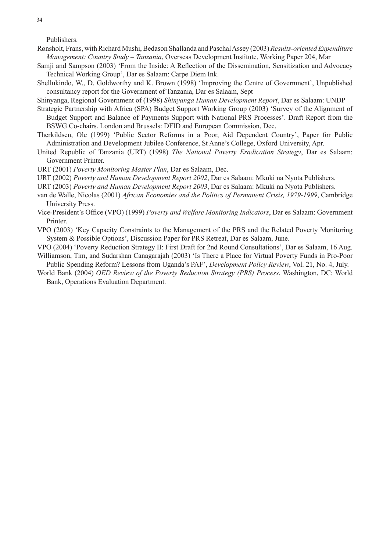Publishers.

Rønsholt, Frans, with Richard Mushi, Bedason Shallanda and Paschal Assey (2003) *Results-oriented Expenditure Management: Country Study – Tanzania*, Overseas Development Institute, Working Paper 204, Mar

- Samji and Sampson (2003) 'From the Inside: A Reflection of the Dissemination, Sensitization and Advocacy Technical Working Group', Dar es Salaam: Carpe Diem Ink.
- Shellukindo, W., D. Goldworthy and K. Brown (1998) 'Improving the Centre of Government', Unpublished consultancy report for the Government of Tanzania, Dar es Salaam, Sept
- Shinyanga, Regional Government of (1998) *Shinyanga Human Development Report*, Dar es Salaam: UNDP
- Strategic Partnership with Africa (SPA) Budget Support Working Group (2003) 'Survey of the Alignment of Budget Support and Balance of Payments Support with National PRS Processes'. Draft Report from the BSWG Co-chairs. London and Brussels: DFID and European Commission, Dec.
- Therkildsen, Ole (1999) 'Public Sector Reforms in a Poor, Aid Dependent Country', Paper for Public Administration and Development Jubilee Conference, St Anne's College, Oxford University, Apr.
- United Republic of Tanzania (URT) (1998) *The National Poverty Eradication Strategy*, Dar es Salaam: Government Printer.
- URT (2001) *Poverty Monitoring Master Plan*, Dar es Salaam, Dec.
- URT (2002) *Poverty and Human Development Report 2002*, Dar es Salaam: Mkuki na Nyota Publishers.
- URT (2003) *Poverty and Human Development Report 2003*, Dar es Salaam: Mkuki na Nyota Publishers.
- van de Walle, Nicolas (2001) *African Economies and the Politics of Permanent Crisis, 1979-1999*, Cambridge University Press.
- Vice-President's Office (VPO) (1999) *Poverty and Welfare Monitoring Indicators*, Dar es Salaam: Government Printer.
- VPO (2003) 'Key Capacity Constraints to the Management of the PRS and the Related Poverty Monitoring System & Possible Options', Discussion Paper for PRS Retreat, Dar es Salaam, June.
- VPO (2004) 'Poverty Reduction Strategy II: First Draft for 2nd Round Consultations', Dar es Salaam, 16 Aug. Williamson, Tim, and Sudarshan Canagarajah (2003) 'Is There a Place for Virtual Poverty Funds in Pro-Poor
- Public Spending Reform? Lessons from Uganda's PAF', *Development Policy Review*, Vol. 21, No. 4, July.
- World Bank (2004) *OED Review of the Poverty Reduction Strategy (PRS) Process*, Washington, DC: World Bank, Operations Evaluation Department.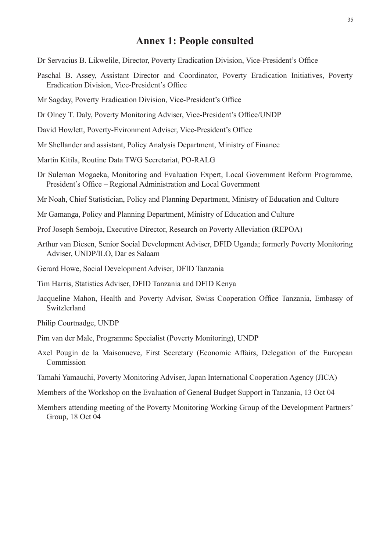# **Annex 1: People consulted**

- Dr Servacius B. Likwelile, Director, Poverty Eradication Division, Vice-President's Office
- Paschal B. Assey, Assistant Director and Coordinator, Poverty Eradication Initiatives, Poverty Eradication Division, Vice-President's Office
- Mr Sagday, Poverty Eradication Division, Vice-President's Office
- Dr Olney T. Daly, Poverty Monitoring Adviser, Vice-President's Office/UNDP
- David Howlett, Poverty-Evironment Adviser, Vice-President's Office
- Mr Shellander and assistant, Policy Analysis Department, Ministry of Finance
- Martin Kitila, Routine Data TWG Secretariat, PO-RALG
- Dr Suleman Mogaeka, Monitoring and Evaluation Expert, Local Government Reform Programme, President's Office – Regional Administration and Local Government
- Mr Noah, Chief Statistician, Policy and Planning Department, Ministry of Education and Culture
- Mr Gamanga, Policy and Planning Department, Ministry of Education and Culture
- Prof Joseph Semboja, Executive Director, Research on Poverty Alleviation (REPOA)
- Arthur van Diesen, Senior Social Development Adviser, DFID Uganda; formerly Poverty Monitoring Adviser, UNDP/ILO, Dar es Salaam
- Gerard Howe, Social Development Adviser, DFID Tanzania
- Tim Harris, Statistics Adviser, DFID Tanzania and DFID Kenya
- Jacqueline Mahon, Health and Poverty Advisor, Swiss Cooperation Office Tanzania, Embassy of Switzlerland
- Philip Courtnadge, UNDP
- Pim van der Male, Programme Specialist (Poverty Monitoring), UNDP
- Axel Pougin de la Maisonueve, First Secretary (Economic Affairs, Delegation of the European Commission
- Tamahi Yamauchi, Poverty Monitoring Adviser, Japan International Cooperation Agency (JICA)
- Members of the Workshop on the Evaluation of General Budget Support in Tanzania, 13 Oct 04
- Members attending meeting of the Poverty Monitoring Working Group of the Development Partners' Group, 18 Oct 04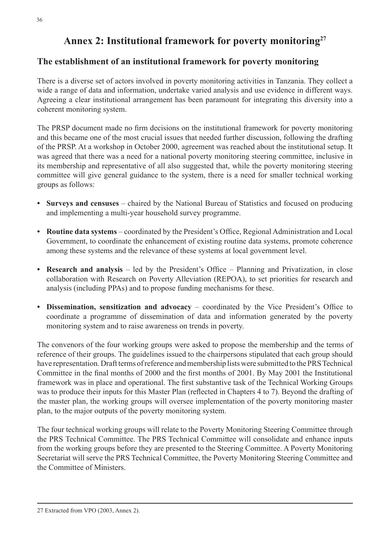# **Annex 2: Institutional framework for poverty monitoring27**

### **The establishment of an institutional framework for poverty monitoring**

There is a diverse set of actors involved in poverty monitoring activities in Tanzania. They collect a wide a range of data and information, undertake varied analysis and use evidence in different ways. Agreeing a clear institutional arrangement has been paramount for integrating this diversity into a coherent monitoring system.

The PRSP document made no firm decisions on the institutional framework for poverty monitoring and this became one of the most crucial issues that needed further discussion, following the drafting of the PRSP. At a workshop in October 2000, agreement was reached about the institutional setup. It was agreed that there was a need for a national poverty monitoring steering committee, inclusive in its membership and representative of all also suggested that, while the poverty monitoring steering committee will give general guidance to the system, there is a need for smaller technical working groups as follows:

- **Surveys and censuses** chaired by the National Bureau of Statistics and focused on producing **•** and implementing a multi-year household survey programme.
- **Routine data systems** coordinated by the President's Office, Regional Administration and Local **•** Government, to coordinate the enhancement of existing routine data systems, promote coherence among these systems and the relevance of these systems at local government level.
- Research and analysis led by the President's Office Planning and Privatization, in close collaboration with Research on Poverty Alleviation (REPOA), to set priorities for research and analysis (including PPAs) and to propose funding mechanisms for these.
- Dissemination, sensitization and advocacy coordinated by the Vice President's Office to coordinate a programme of dissemination of data and information generated by the poverty monitoring system and to raise awareness on trends in poverty.

The convenors of the four working groups were asked to propose the membership and the terms of reference of their groups. The guidelines issued to the chairpersons stipulated that each group should have representation. Draft terms of reference and membership lists were submitted to the PRS Technical Committee in the final months of 2000 and the first months of 2001. By May 2001 the Institutional framework was in place and operational. The first substantive task of the Technical Working Groups was to produce their inputs for this Master Plan (reflected in Chapters 4 to 7). Beyond the drafting of the master plan, the working groups will oversee implementation of the poverty monitoring master plan, to the major outputs of the poverty monitoring system.

The four technical working groups will relate to the Poverty Monitoring Steering Committee through the PRS Technical Committee. The PRS Technical Committee will consolidate and enhance inputs from the working groups before they are presented to the Steering Committee. A Poverty Monitoring Secretariat will serve the PRS Technical Committee, the Poverty Monitoring Steering Committee and the Committee of Ministers.

<sup>27</sup> Extracted from VPO (2003, Annex 2).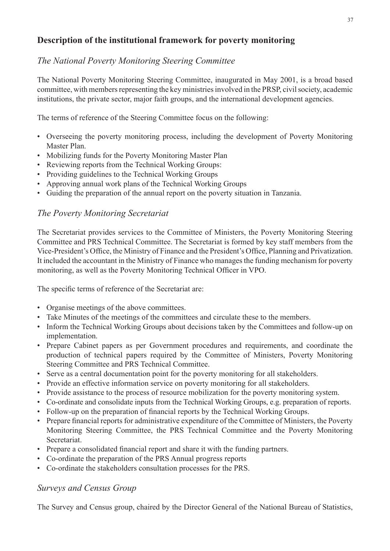## **Description of the institutional framework for poverty monitoring**

### *The National Poverty Monitoring Steering Committee*

The National Poverty Monitoring Steering Committee, inaugurated in May 2001, is a broad based committee, with members representing the key ministries involved in the PRSP, civil society, academic institutions, the private sector, major faith groups, and the international development agencies.

The terms of reference of the Steering Committee focus on the following:

- Overseeing the poverty monitoring process, including the development of Poverty Monitoring Master Plan.
- Mobilizing funds for the Poverty Monitoring Master Plan
- Reviewing reports from the Technical Working Groups:
- Providing guidelines to the Technical Working Groups
- Approving annual work plans of the Technical Working Groups
- Guiding the preparation of the annual report on the poverty situation in Tanzania.

### *The Poverty Monitoring Secretariat*

The Secretariat provides services to the Committee of Ministers, the Poverty Monitoring Steering Committee and PRS Technical Committee. The Secretariat is formed by key staff members from the Vice-President's Office, the Ministry of Finance and the President's Office, Planning and Privatization. It included the accountant in the Ministry of Finance who manages the funding mechanism for poverty monitoring, as well as the Poverty Monitoring Technical Officer in VPO.

The specific terms of reference of the Secretariat are:

- Organise meetings of the above committees.
- Take Minutes of the meetings of the committees and circulate these to the members. •
- Inform the Technical Working Groups about decisions taken by the Committees and follow-up on implementation.
- Prepare Cabinet papers as per Government procedures and requirements, and coordinate the production of technical papers required by the Committee of Ministers, Poverty Monitoring Steering Committee and PRS Technical Committee.
- Serve as a central documentation point for the poverty monitoring for all stakeholders.
- Provide an effective information service on poverty monitoring for all stakeholders.
- Provide assistance to the process of resource mobilization for the poverty monitoring system.
- Co-ordinate and consolidate inputs from the Technical Working Groups, e.g. preparation of reports. •
- Follow-up on the preparation of financial reports by the Technical Working Groups.
- Prepare financial reports for administrative expenditure of the Committee of Ministers, the Poverty Monitoring Steering Committee, the PRS Technical Committee and the Poverty Monitoring Secretariat.
- Prepare a consolidated financial report and share it with the funding partners.
- Co-ordinate the preparation of the PRS Annual progress reports •
- Co-ordinate the stakeholders consultation processes for the PRS. •

### *Surveys and Census Group*

The Survey and Census group, chaired by the Director General of the National Bureau of Statistics,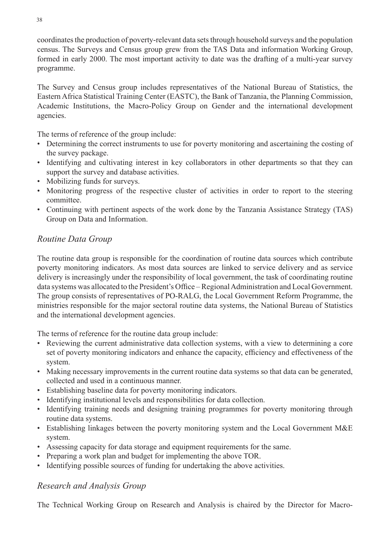coordinates the production of poverty-relevant data sets through household surveys and the population census. The Surveys and Census group grew from the TAS Data and information Working Group, formed in early 2000. The most important activity to date was the drafting of a multi-year survey programme.

The Survey and Census group includes representatives of the National Bureau of Statistics, the Eastern Africa Statistical Training Center (EASTC), the Bank of Tanzania, the Planning Commission, Academic Institutions, the Macro-Policy Group on Gender and the international development agencies.

The terms of reference of the group include:

- Determining the correct instruments to use for poverty monitoring and ascertaining the costing of the survey package.
- Identifying and cultivating interest in key collaborators in other departments so that they can support the survey and database activities.
- Mobilizing funds for surveys.
- Monitoring progress of the respective cluster of activities in order to report to the steering committee.
- Continuing with pertinent aspects of the work done by the Tanzania Assistance Strategy (TAS) Group on Data and Information.

### *Routine Data Group*

The routine data group is responsible for the coordination of routine data sources which contribute poverty monitoring indicators. As most data sources are linked to service delivery and as service delivery is increasingly under the responsibility of local government, the task of coordinating routine data systems was allocated to the President's Office – Regional Administration and Local Government. The group consists of representatives of PO-RALG, the Local Government Reform Programme, the ministries responsible for the major sectoral routine data systems, the National Bureau of Statistics and the international development agencies.

The terms of reference for the routine data group include:

- Reviewing the current administrative data collection systems, with a view to determining a core set of poverty monitoring indicators and enhance the capacity, efficiency and effectiveness of the system.
- Making necessary improvements in the current routine data systems so that data can be generated, collected and used in a continuous manner.
- Establishing baseline data for poverty monitoring indicators. •
- Identifying institutional levels and responsibilities for data collection.
- Identifying training needs and designing training programmes for poverty monitoring through routine data systems.
- Establishing linkages between the poverty monitoring system and the Local Government M&E system.
- Assessing capacity for data storage and equipment requirements for the same. •
- Preparing a work plan and budget for implementing the above TOR.
- Identifying possible sources of funding for undertaking the above activities.

### *Research and Analysis Group*

The Technical Working Group on Research and Analysis is chaired by the Director for Macro-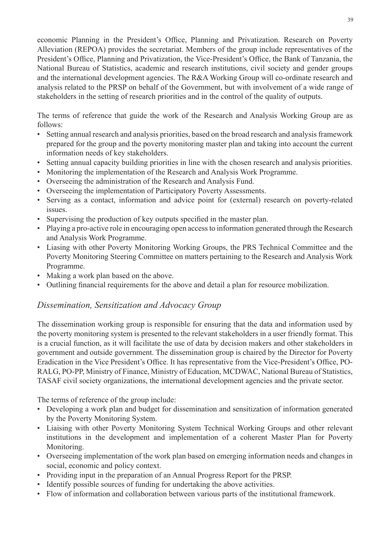economic Planning in the President's Office, Planning and Privatization. Research on Poverty Alleviation (REPOA) provides the secretariat. Members of the group include representatives of the President's Office, Planning and Privatization, the Vice-President's Office, the Bank of Tanzania, the National Bureau of Statistics, academic and research institutions, civil society and gender groups and the international development agencies. The R&A Working Group will co-ordinate research and analysis related to the PRSP on behalf of the Government, but with involvement of a wide range of stakeholders in the setting of research priorities and in the control of the quality of outputs.

The terms of reference that guide the work of the Research and Analysis Working Group are as follows:

- Setting annual research and analysis priorities, based on the broad research and analysis framework prepared for the group and the poverty monitoring master plan and taking into account the current information needs of key stakeholders.
- Setting annual capacity building priorities in line with the chosen research and analysis priorities.
- Monitoring the implementation of the Research and Analysis Work Programme.
- Overseeing the administration of the Research and Analysis Fund.
- Overseeing the implementation of Participatory Poverty Assessments.
- Serving as a contact, information and advice point for (external) research on poverty-related issues.
- Supervising the production of key outputs specified in the master plan.
- Playing a pro-active role in encouraging open access to information generated through the Research and Analysis Work Programme.
- Liasing with other Poverty Monitoring Working Groups, the PRS Technical Committee and the Poverty Monitoring Steering Committee on matters pertaining to the Research and Analysis Work Programme.
- Making a work plan based on the above.
- Outlining financial requirements for the above and detail a plan for resource mobilization.

# *Dissemination, Sensitization and Advocacy Group*

The dissemination working group is responsible for ensuring that the data and information used by the poverty monitoring system is presented to the relevant stakeholders in a user friendly format. This is a crucial function, as it will facilitate the use of data by decision makers and other stakeholders in government and outside government. The dissemination group is chaired by the Director for Poverty Eradication in the Vice President's Office. It has representative from the Vice-President's Office, PO-RALG, PO-PP, Ministry of Finance, Ministry of Education, MCDWAC, National Bureau of Statistics, TASAF civil society organizations, the international development agencies and the private sector.

The terms of reference of the group include:

- Developing a work plan and budget for dissemination and sensitization of information generated by the Poverty Monitoring System.
- Liaising with other Poverty Monitoring System Technical Working Groups and other relevant institutions in the development and implementation of a coherent Master Plan for Poverty Monitoring.
- Overseeing implementation of the work plan based on emerging information needs and changes in social, economic and policy context.
- Providing input in the preparation of an Annual Progress Report for the PRSP.
- Identify possible sources of funding for undertaking the above activities.
- Flow of information and collaboration between various parts of the institutional framework.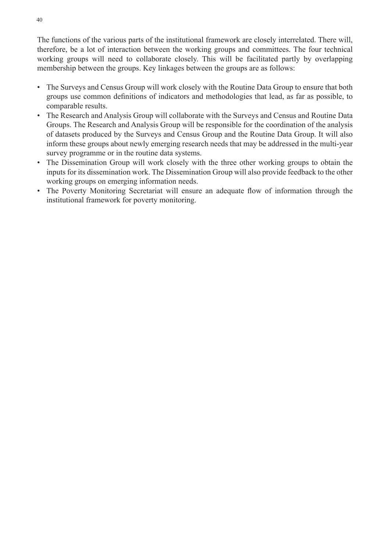The functions of the various parts of the institutional framework are closely interrelated. There will, therefore, be a lot of interaction between the working groups and committees. The four technical working groups will need to collaborate closely. This will be facilitated partly by overlapping membership between the groups. Key linkages between the groups are as follows:

- The Surveys and Census Group will work closely with the Routine Data Group to ensure that both groups use common definitions of indicators and methodologies that lead, as far as possible, to comparable results.  $\bullet$
- The Research and Analysis Group will collaborate with the Surveys and Census and Routine Data Groups. The Research and Analysis Group will be responsible for the coordination of the analysis of datasets produced by the Surveys and Census Group and the Routine Data Group. It will also inform these groups about newly emerging research needs that may be addressed in the multi-year survey programme or in the routine data systems.
- The Dissemination Group will work closely with the three other working groups to obtain the inputs for its dissemination work. The Dissemination Group will also provide feedback to the other working groups on emerging information needs. •
- The Poverty Monitoring Secretariat will ensure an adequate flow of information through the institutional framework for poverty monitoring.